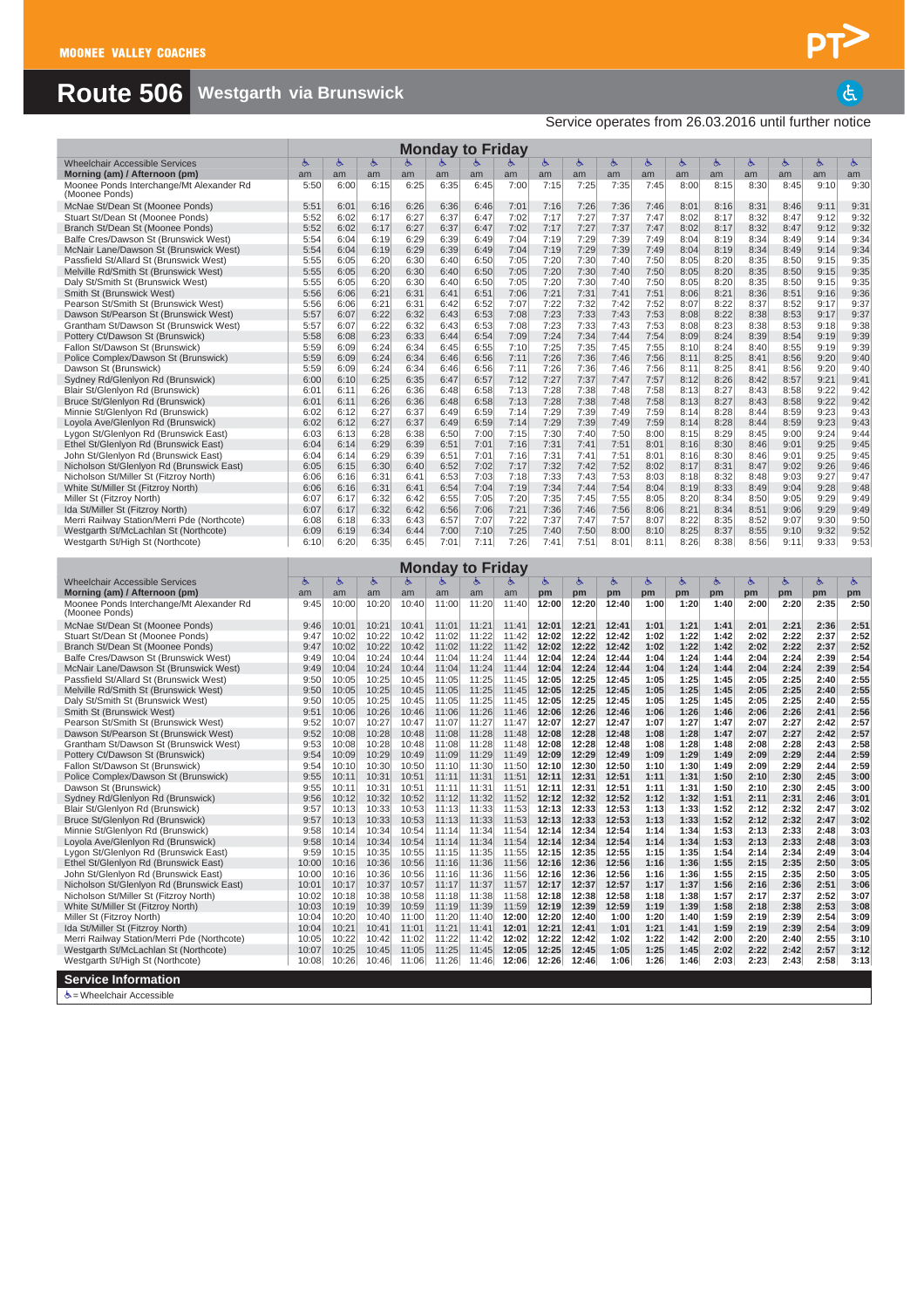## **Route 506 Westgarth via Brunswick**

Service operates from 26.03.2016 until further notice

|                                                                                   |                |                |                |                | <b>Monday to Friday</b> |                |                |                |                |                |              |              |              |              |              |              |              |
|-----------------------------------------------------------------------------------|----------------|----------------|----------------|----------------|-------------------------|----------------|----------------|----------------|----------------|----------------|--------------|--------------|--------------|--------------|--------------|--------------|--------------|
| <b>Wheelchair Accessible Services</b><br>Morning (am) / Afternoon (pm)            | 占<br>am        | Ġ<br>am        | Ġ<br>am        | Ġ<br>am        | Ġ<br>am                 | am             | am             | Ġ<br>am        | Ġ<br>am        | Ġ<br>am        | Ġ<br>am      | Ġ<br>am      | Ġ<br>am      | ৬<br>am      | ىغ<br>am     | Ġ.<br>am     | Ġ.<br>am     |
| Moonee Ponds Interchange/Mt Alexander Rd                                          | 5:50           | 6:00           | 6:15           | 6:25           | 6:35                    | 6:45           | 7:00           | 7:15           | 7:25           | 7:35           | 7:45         | 8:00         | 8:15         | 8:30         | 8:45         | 9:10         | 9:30         |
| (Moonee Ponds)<br>McNae St/Dean St (Moonee Ponds)                                 | 5:51           | 6:01           | 6:16           | 6:26           | 6:36                    | 6:46           | 7:01           | 7:16           | 7:26           | 7:36           | 7:46         | 8:01         | 8:16         | 8:31         | 8:46         | 9:11         | 9:31         |
| Stuart St/Dean St (Moonee Ponds)                                                  | 5:52           | 6:02           | 6:17           | 6:27           | 6:37                    | 6:47           | 7:02           | 7:17           | 7:27           | 7:37           | 7:47         | 8:02         | 8:17         | 8:32         | 8:47         | 9:12         | 9:32         |
| Branch St/Dean St (Moonee Ponds)                                                  | 5:52<br>5:54   | 6:02           | 6:17<br>6:19   | 6:27<br>6:29   | 6:37                    | 6:47<br>6:49   | 7:02<br>7:04   | 7:17<br>7:19   | 7:27<br>7:29   | 7:37<br>7:39   | 7:47<br>7:49 | 8:02<br>8:04 | 8:17<br>8:19 | 8:32<br>8:34 | 8:47<br>8:49 | 9:12<br>9:14 | 9:32<br>9:34 |
| Balfe Cres/Dawson St (Brunswick West)<br>McNair Lane/Dawson St (Brunswick West)   | 5:54           | 6:04<br>6:04   | 6:19           | 6:29           | 6:39<br>6:39            | 6:49           | 7:04           | 7:19           | 7:29           | 7:39           | 7:49         | 8:04         | 8:19         | 8:34         | 8:49         | 9:14         | 9:34         |
| Passfield St/Allard St (Brunswick West)                                           | 5:55           | 6:05           | 6:20           | 6:30           | 6:40                    | 6:50           | 7:05           | 7:20           | 7:30           | 7:40           | 7:50         | 8:05         | 8:20         | 8:35         | 8:50         | 9:15         | 9:35         |
| Melville Rd/Smith St (Brunswick West)<br>Daly St/Smith St (Brunswick West)        | 5:55<br>5:55   | 6:05<br>6:05   | 6:20<br>6:20   | 6:30<br>6:30   | 6:40<br>6:40            | 6:50<br>6:50   | 7:05<br>7:05   | 7:20<br>7:20   | 7:30<br>7:30   | 7:40<br>7:40   | 7:50<br>7:50 | 8:05<br>8:05 | 8:20<br>8:20 | 8:35<br>8:35 | 8:50<br>8:50 | 9:15<br>9:15 | 9:35<br>9:35 |
| Smith St (Brunswick West)                                                         | 5:56           | 6:06           | 6:21           | 6:31           | 6:41                    | 6:51           | 7:06           | 7:21           | 7:31           | 7:41           | 7:51         | 8:06         | 8:21         | 8:36         | 8:51         | 9:16         | 9:36         |
| Pearson St/Smith St (Brunswick West)<br>Dawson St/Pearson St (Brunswick West)     | 5:56<br>5:57   | 6:06<br>6:07   | 6:21<br>6:22   | 6:31<br>6:32   | 6:42<br>6:43            | 6:52<br>6:53   | 7:07<br>7:08   | 7:22<br>7:23   | 7:32<br>7:33   | 7:42<br>7:43   | 7:52<br>7:53 | 8:07<br>8:08 | 8:22<br>8:22 | 8:37<br>8:38 | 8:52<br>8:53 | 9:17<br>9:17 | 9:37<br>9:37 |
| Grantham St/Dawson St (Brunswick West)                                            | 5:57           | 6:07           | 6:22           | 6:32           | 6:43                    | 6:53           | 7:08           | 7:23           | 7:33           | 7:43           | 7:53         | 8:08         | 8:23         | 8:38         | 8:53         | 9:18         | 9:38         |
| Pottery Ct/Dawson St (Brunswick)                                                  | 5:58           | 6:08           | 6:23           | 6:33           | 6:44                    | 6:54           | 7:09           | 7:24           | 7:34           | 7:44           | 7:54         | 8:09         | 8:24         | 8:39         | 8:54         | 9:19         | 9:39         |
| Fallon St/Dawson St (Brunswick)<br>Police Complex/Dawson St (Brunswick)           | 5:59<br>5:59   | 6:09<br>6:09   | 6:24<br>6:24   | 6:34<br>6:34   | 6:45<br>6:46            | 6:55<br>6:56   | 7:10<br>7:11   | 7:25<br>7:26   | 7:35<br>7:36   | 7:45<br>7:46   | 7:55<br>7:56 | 8:10<br>8:11 | 8:24<br>8:25 | 8:40<br>8:41 | 8:55<br>8:56 | 9:19<br>9:20 | 9:39<br>9:40 |
| Dawson St (Brunswick)                                                             | 5:59           | 6:09           | 6:24           | 6:34           | 6:46                    | 6:56           | 7:11           | 7:26           | 7:36           | 7:46           | 7:56         | 8:11         | 8:25         | 8:41         | 8:56         | 9:20         | 9:40         |
| Sydney Rd/Glenlyon Rd (Brunswick)<br>Blair St/Glenlyon Rd (Brunswick)             | 6:00<br>6:01   | 6:10<br>6:11   | 6:25<br>6:26   | 6:35<br>6:36   | 6:47<br>6:48            | 6:57<br>6:58   | 7:12<br>7:13   | 7:27<br>7:28   | 7:37<br>7:38   | 7:47<br>7:48   | 7:57<br>7:58 | 8:12<br>8:13 | 8:26<br>8:27 | 8:42<br>8:43 | 8:57<br>8:58 | 9:21<br>9:22 | 9:41<br>9:42 |
| Bruce St/Glenlyon Rd (Brunswick)                                                  | 6:01           | 6:11           | 6:26           | 6:36           | 6:48                    | 6:58           | 7:13           | 7:28           | 7:38           | 7:48           | 7:58         | 8:13         | 8:27         | 8:43         | 8:58         | 9:22         | 9:42         |
| Minnie St/Glenlyon Rd (Brunswick)                                                 | 6:02           | 6:12           | 6:27           | 6:37           | 6:49                    | 6:59           | 7:14           | 7:29           | 7:39           | 7:49           | 7:59         | 8:14         | 8:28         | 8:44         | 8:59         | 9:23         | 9:43         |
| Loyola Ave/Glenlyon Rd (Brunswick)<br>Lygon St/Glenlyon Rd (Brunswick East)       | 6:02<br>6:03   | 6:12<br>6:13   | 6:27<br>6:28   | 6:37<br>6:38   | 6:49<br>6:50            | 6:59<br>7:00   | 7:14<br>7:15   | 7:29<br>7:30   | 7:39<br>7:40   | 7:49<br>7:50   | 7:59<br>8:00 | 8:14<br>8:15 | 8:28<br>8:29 | 8:44<br>8:45 | 8:59<br>9:00 | 9:23<br>9:24 | 9:43<br>9:44 |
| Ethel St/Glenlyon Rd (Brunswick East)                                             | 6:04           | 6:14           | 6:29           | 6:39           | 6:51                    | 7:01           | 7:16           | 7:31           | 7:41           | 7:51           | 8:01         | 8:16         | 8:30         | 8:46         | 9:01         | 9:25         | 9:45         |
| John St/Glenlyon Rd (Brunswick East)<br>Nicholson St/Glenlyon Rd (Brunswick East) | 6:04<br>6:05   | 6:14<br>6:15   | 6:29<br>6:30   | 6:39<br>6:40   | 6:51<br>6:52            | 7:01<br>7:02   | 7:16<br>7:17   | 7:31<br>7:32   | 7:41<br>7:42   | 7:51<br>7:52   | 8:01<br>8:02 | 8:16<br>8:17 | 8:30<br>8:31 | 8:46<br>8:47 | 9:01<br>9:02 | 9:25<br>9:26 | 9:45<br>9:46 |
| Nicholson St/Miller St (Fitzroy North)                                            | 6:06           | 6:16           | 6:31           | 6:41           | 6:53                    | 7:03           | 7:18           | 7:33           | 7:43           | 7:53           | 8:03         | 8:18         | 8:32         | 8:48         | 9:03         | 9:27         | 9:47         |
| White St/Miller St (Fitzroy North)                                                | 6:06           | 6:16           | 6:31           | 6:41           | 6:54                    | 7:04           | 7:19           | 7:34           | 7:44           | 7:54           | 8:04         | 8:19         | 8:33         | 8:49         | 9:04         | 9:28         | 9:48         |
| Miller St (Fitzroy North)<br>Ida St/Miller St (Fitzroy North)                     | 6:07<br>6:07   | 6:17<br>6:17   | 6:32<br>6:32   | 6:42<br>6:42   | 6:55<br>6:56            | 7:05<br>7:06   | 7:20<br>7:21   | 7:35<br>7:36   | 7:45<br>7:46   | 7:55<br>7:56   | 8:05<br>8:06 | 8:20<br>8:21 | 8:34<br>8:34 | 8:50<br>8:51 | 9:05<br>9:06 | 9:29<br>9:29 | 9:49<br>9:49 |
| Merri Railway Station/Merri Pde (Northcote)                                       | 6:08           | 6:18           | 6:33           | 6:43           | 6:57                    | 7:07           | 7:22           | 7:37           | 7:47           | 7:57           | 8:07         | 8:22         | 8:35         | 8:52         | 9:07         | 9:30         | 9:50         |
| Westgarth St/McLachlan St (Northcote)<br>Westgarth St/High St (Northcote)         | 6:09<br>6:10   | 6:19<br>6:20   | 6:34<br>6:35   | 6:44<br>6:45   | 7:00<br>7:01            | 7:10<br>7:11   | 7:25<br>7:26   | 7:40<br>7:41   | 7:50<br>7:51   | 8:00<br>8:01   | 8:10<br>8:11 | 8:25<br>8:26 | 8:37<br>8:38 | 8:55<br>8:56 | 9:10<br>9:11 | 9:32<br>9:33 | 9:52<br>9:53 |
|                                                                                   |                |                |                |                |                         |                |                |                |                |                |              |              |              |              |              |              |              |
|                                                                                   |                |                |                |                | <b>Monday to Friday</b> |                |                |                |                |                |              |              |              |              |              |              |              |
| <b>Wheelchair Accessible Services</b><br>Morning (am) / Afternoon (pm)            | Ġ<br>am        | Ġ<br>am        | Ġ<br>am        | Ġ<br>am        | Ġ.<br>am                | Ġ.<br>am       | Ġ<br>am        | Ġ<br>pm        | Ġ<br>pm        | Ġ<br>pm        | Ġ.<br>pm     | Ġ<br>pm      | Ġ<br>pm      | Ġ.<br>pm     | Ġ.<br>pm     | Ġ.<br>pm     | Ġ.<br>pm     |
| Moonee Ponds Interchange/Mt Alexander Rd<br>(Moonee Ponds)                        | 9:45           | 10:00          | 10:20          | 10:40          | 11:00                   | 11:20          | 11:40          | 12:00          | 12:20          | 12:40          | 1:00         | 1:20         | 1:40         | 2:00         | 2:20         | 2:35         | 2:50         |
| McNae St/Dean St (Moonee Ponds)                                                   | 9:46           | 10:01          | 10:21          | 10:41          | 11:01                   | 11:21          | 11:41          | 12:01          | 12:21          | 12:41          | 1:01         | 1:21         | 1:41         | 2:01         | 2:21         | 2:36         | 2:51         |
| Stuart St/Dean St (Moonee Ponds)<br>Branch St/Dean St (Moonee Ponds)              | 9:47<br>9:47   | 10:02<br>10:02 | 10:22<br>10:22 | 10:42<br>10:42 | 11:02<br>11:02          | 11:22<br>11:22 | 11:42<br>11:42 | 12:02<br>12:02 | 12:22<br>12:22 | 12:42<br>12:42 | 1:02<br>1:02 | 1:22<br>1:22 | 1:42<br>1:42 | 2:02<br>2:02 | 2:22<br>2:22 | 2:37<br>2:37 | 2:52<br>2:52 |
| Balfe Cres/Dawson St (Brunswick West)                                             | 9:49           | 10:04          | 10:24          | 10:44          | 11:04                   | 11:24          | 11:44          | 12:04          | 12:24          | 12:44          | 1:04         | 1:24         | 1:44         | 2:04         | 2:24         | 2:39         | 2:54         |
| McNair Lane/Dawson St (Brunswick West)                                            | 9:49           | 10:04          | 10:24<br>10:25 | 10:44          | 11:04                   | 11:24          | 11:44          | 12:04          | 12:24<br>12:25 | 12:44<br>12:45 | 1:04         | 1:24<br>1:25 | 1:44         | 2:04         | 2:24<br>2:25 | 2:39         | 2:54<br>2:55 |
| Passfield St/Allard St (Brunswick West)<br>Melville Rd/Smith St (Brunswick West)  | 9:50<br>9:50   | 10:05<br>10:05 | 10:25          | 10:45<br>10:45 | 11:05<br>11:05          | 11:25<br>11:25 | 11:45<br>11:45 | 12:05<br>12:05 | 12:25          | 12:45          | 1:05<br>1:05 | 1:25         | 1:45<br>1:45 | 2:05<br>2:05 | 2:25         | 2:40<br>2:40 | 2:55         |
| Daly St/Smith St (Brunswick West)                                                 | 9:50           | 10:05          | 10:25          | 10:45          | 11:05                   | 11:25          | 11:45          | 12:05          | 12:25          | 12:45          | 1:05         | 1:25         | 1:45         | 2:05         | 2:25         | 2:40         | 2:55         |
| Smith St (Brunswick West)<br>Pearson St/Smith St (Brunswick West)                 | 9:51           | 10:06          | 10:26          | 10:46          | 11:06                   | 11:26          | 11:46          | 12:06          | 12:26          | 12:46          | 1:06         | 1:26         | 1:46         | 2:06         | 2:26         | 2:41         | 2:56<br>2:57 |
|                                                                                   |                |                |                |                |                         |                |                |                |                |                |              |              |              |              |              |              |              |
| Dawson St/Pearson St (Brunswick West)                                             | 9:52<br>9:52   | 10:07<br>10:08 | 10:27<br>10:28 | 10:47<br>10:48 | 11:07<br>11:08          | 11:27<br>11:28 | 11:47<br>11:48 | 12:07<br>12:08 | 12:27<br>12:28 | 12:47<br>12:48 | 1:07<br>1:08 | 1:27<br>1:28 | 1:47<br>1:47 | 2:07<br>2:07 | 2:27<br>2:27 | 2:42<br>2:42 | 2:57         |
| Grantham St/Dawson St (Brunswick West)                                            | 9:53           | 10:08          | 10:28          | 10:48          | 11:08                   | 11:28          | 11:48          | 12:08          | 12:28          | 12:48          | 1:08         | 1:28         | 1:48         | 2:08         | 2:28         | 2:43         | 2:58         |
| Pottery Ct/Dawson St (Brunswick)<br>Fallon St/Dawson St (Brunswick)               | 9:54<br>9:54   | 10:09<br>10:10 | 10:29<br>10:30 | 10:49<br>10:50 | 11:09<br>11:10          | 11:29<br>11:30 | 11:49<br>11:50 | 12:09<br>12:10 | 12:29<br>12:30 | 12:49<br>12:50 | 1:09<br>1:10 | 1:29<br>1:30 | 1:49<br>1:49 | 2:09<br>2:09 | 2:29<br>2:29 | 2:44<br>2:44 | 2:59<br>2:59 |
| Police Complex/Dawson St (Brunswick)                                              | 9:55           | 10:11          | 10:31          | 10:51          | 11:11                   | 11:31          | 11:51          | 12:11          | 12:31          | 12:51          | 1:11         | 1:31         | 1:50         | 2:10         | 2:30         | 2:45         | 3:00         |
| Dawson St (Brunswick)                                                             | 9:55           | 10:11          | 10:31          | 10:51          | 11:11                   | 11:31          | 11:51          | 12:11          | 12:31          | 12:51          | 1:11         | 1:31         | 1:50         | 2:10         | 2:30         | 2:45         | 3:00         |
| Sydney Rd/Glenlyon Rd (Brunswick)<br>Blair St/Glenlyon Rd (Brunswick)             | 9:56<br>9:57   | 10:12<br>10:13 | 10:32<br>10:33 | 10:52<br>10:53 | 11:12<br>11:13          | 11:32<br>11:33 | 11:52<br>11:53 | 12:12<br>12:13 | 12:32<br>12:33 | 12:52<br>12:53 | 1:12<br>1:13 | 1:32<br>1:33 | 1:51<br>1:52 | 2:11<br>2:12 | 2:31<br>2:32 | 2:46<br>2:47 | 3:01<br>3:02 |
| Bruce St/Glenlyon Rd (Brunswick)                                                  | 9:57           | 10:13          | 10:33          | 10:53          | 11:13                   | 11:33          | 11:53          | 12:13          | 12:33          | 12:53          | 1:13         | 1:33         | 1:52         | 2:12         | 2:32         | 2:47         | 3:02         |
| Minnie St/Glenlyon Rd (Brunswick)                                                 | 9:58<br>9:58   | 10:14<br>10:14 | 10:34<br>10:34 | 10:54<br>10:54 | 11:14                   | 11:34<br>11:34 | 11:54<br>11:54 | 12:14<br>12:14 | 12:34<br>12:34 | 12:54<br>12:54 | 1:14<br>1:14 | 1:34<br>1:34 | 1:53<br>1:53 | 2:13<br>2:13 | 2:33<br>2:33 | 2:48<br>2:48 | 3:03<br>3:03 |
| Loyola Ave/Glenlyon Rd (Brunswick)<br>Lygon St/Glenlyon Rd (Brunswick East)       | 9:59           | 10:15          | 10:35          | 10:55          | 11:14<br>11:15          | 11:35          | 11:55          | 12:15          | 12:35          | 12:55          | 1:15         | 1:35         | 1:54         | 2:14         | 2:34         | 2:49         | 3:04         |
| Ethel St/Glenlyon Rd (Brunswick East)                                             | 10:00          | 10:16          | 10:36          | 10:56          | 11:16                   | 11:36          | 11:56          | 12:16          | 12:36          | 12:56          | 1:16         | 1:36         | 1:55         | 2:15         | 2:35         | 2:50         | 3:05         |
| John St/Glenlyon Rd (Brunswick East)<br>Nicholson St/Glenlyon Rd (Brunswick East) | 10:00<br>10:01 | 10:16<br>10:17 | 10:36<br>10:37 | 10:56<br>10:57 | 11:16<br>11:17          | 11:36<br>11:37 | 11:56<br>11:57 | 12:16<br>12:17 | 12:36<br>12:37 | 12:56<br>12:57 | 1:16<br>1:17 | 1:36<br>1:37 | 1:55<br>1:56 | 2:15<br>2:16 | 2:35<br>2:36 | 2:50<br>2:51 | 3:05<br>3:06 |
| Nicholson St/Miller St (Fitzroy North)                                            | 10:02          | 10:18          | 10:38          | 10:58          | 11:18                   | 11:38          | 11:58          | 12:18          | 12:38          | 12:58          | 1:18         | 1:38         | 1:57         | 2:17         | 2:37         | 2:52         | 3:07         |
| White St/Miller St (Fitzroy North)<br>Miller St (Fitzroy North)                   | 10:03<br>10:04 | 10:19<br>10:20 | 10:39<br>10:40 | 10:59<br>11:00 | 11:19<br>11:20          | 11:39<br>11:40 | 11:59<br>12:00 | 12:19<br>12:20 | 12:39<br>12:40 | 12:59<br>1:00  | 1:19<br>1:20 | 1:39<br>1:40 | 1:58<br>1:59 | 2:18<br>2:19 | 2:38<br>2:39 | 2:53<br>2:54 | 3:08<br>3:09 |
| Ida St/Miller St (Fitzroy North)                                                  | 10:04          | 10:21          | 10:41          | 11:01          | 11:21                   | 11:41          | 12:01          | 12:21          | 12:41          | 1:01           | 1:21         | 1:41         | 1:59         | 2:19         | 2:39         | 2:54         | 3:09         |
| Merri Railway Station/Merri Pde (Northcote)                                       | 10:05          | 10:22          | 10:42          | 11:02          | 11:22                   | 11:42          | 12:02          | 12:22          | 12:42          | 1:02           | 1:22         | 1:42         | 2:00         | 2:20         | 2:40         | 2:55         | 3:10         |
| Westgarth St/McLachlan St (Northcote)<br>Westgarth St/High St (Northcote)         | 10:07<br>10:08 | 10:25<br>10:26 | 10:45<br>10:46 | 11:05<br>11:06 | 11:25<br>11:26          | 11:45<br>11:46 | 12:05<br>12:06 | 12:25<br>12:26 | 12:45<br>12:46 | 1:05<br>1:06   | 1:25<br>1:26 | 1:45<br>1:46 | 2:02<br>2:03 | 2:22<br>2:23 | 2:42<br>2:43 | 2:57<br>2:58 | 3:12<br>3:13 |

 $\phi$  = Wheelchair Accessible

 $\overline{d}$ 

PT>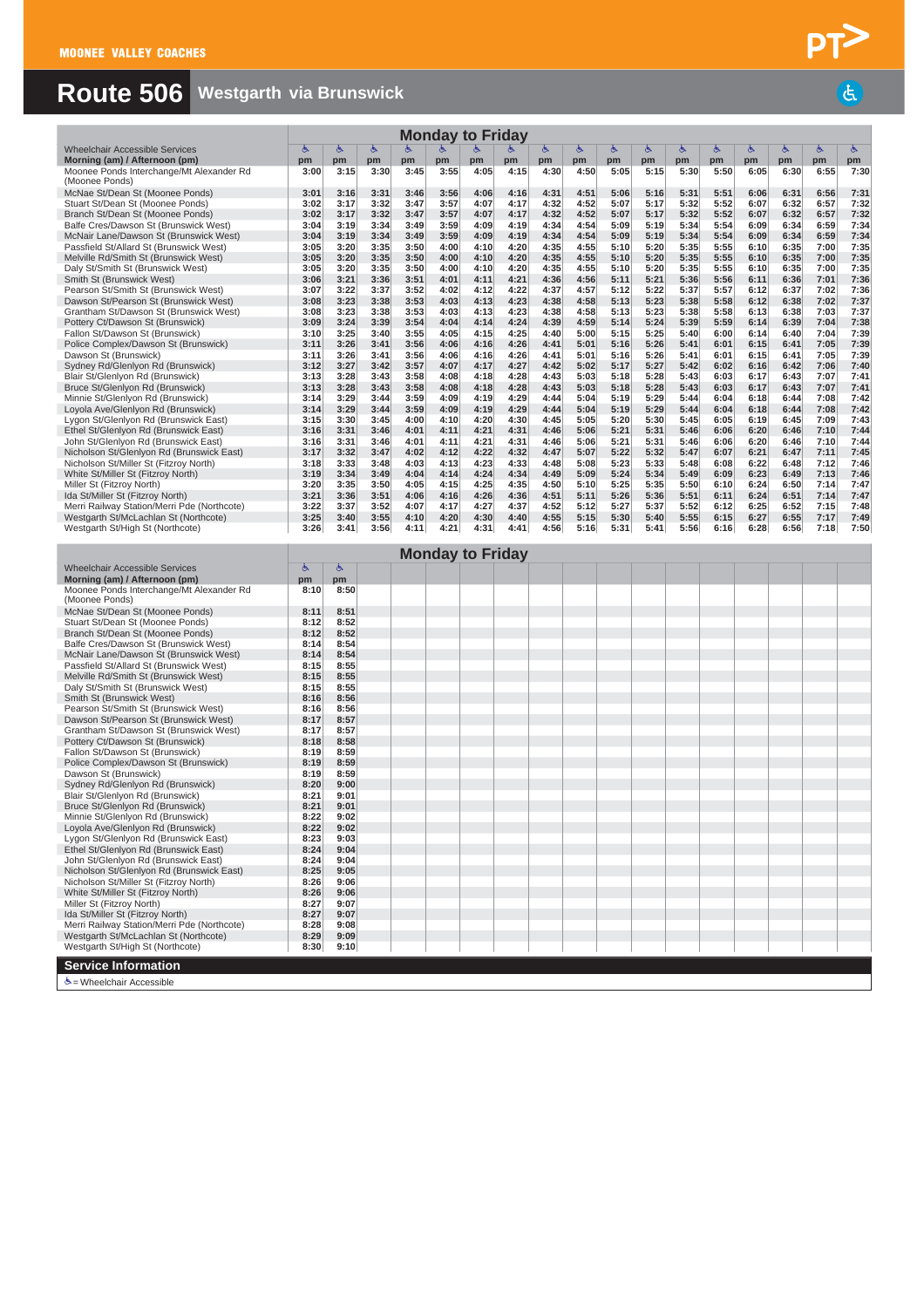# **Route 506 Westgarth via Brunswick**

|                                                                                      |              |              |              |              |              | <b>Monday to Friday</b> |              |              |              |              |              |              |              |              |              |              |              |
|--------------------------------------------------------------------------------------|--------------|--------------|--------------|--------------|--------------|-------------------------|--------------|--------------|--------------|--------------|--------------|--------------|--------------|--------------|--------------|--------------|--------------|
| <b>Wheelchair Accessible Services</b>                                                | 酉<br>pm      | Ġ            | 占<br>pm      | pm           | pm           |                         |              | 占            | ৬            | Ġ<br>pm      | ځ<br>pm      | Ġ            | Ġ            | Ġ<br>pm      | 占<br>pm      | 占            | 酉            |
| Morning (am) / Afternoon (pm)<br>Moonee Ponds Interchange/Mt Alexander Rd            | 3:00         | pm<br>3:15   | 3:30         | 3:45         | 3:55         | pm<br>4:05              | pm<br>4:15   | pm<br>4:30   | pm<br>4:50   | 5:05         | 5:15         | pm<br>5:30   | pm<br>5:50   | 6:05         | 6:30         | pm<br>6:55   | pm<br>7:30   |
| (Moonee Ponds)                                                                       |              |              | 3:31         |              |              |                         |              |              |              |              |              |              |              |              |              |              |              |
| McNae St/Dean St (Moonee Ponds)<br>Stuart St/Dean St (Moonee Ponds)                  | 3:01<br>3:02 | 3:16<br>3:17 | 3:32         | 3:46<br>3:47 | 3:56<br>3:57 | 4:06<br>4:07            | 4:16<br>4:17 | 4:31<br>4:32 | 4:51<br>4:52 | 5:06<br>5:07 | 5:16<br>5:17 | 5:31<br>5:32 | 5:51<br>5:52 | 6:06<br>6:07 | 6:31<br>6:32 | 6:56<br>6:57 | 7:31<br>7:32 |
| Branch St/Dean St (Moonee Ponds)                                                     | 3:02         | 3:17         | 3:32         | 3:47         | 3:57         | 4:07                    | 4:17         | 4:32         | 4:52         | 5:07         | 5:17         | 5:32         | 5:52         | 6:07         | 6:32         | 6:57         | 7:32         |
| Balfe Cres/Dawson St (Brunswick West)<br>McNair Lane/Dawson St (Brunswick West)      | 3:04<br>3:04 | 3:19<br>3:19 | 3:34<br>3:34 | 3:49<br>3:49 | 3:59<br>3:59 | 4:09<br>4:09            | 4:19<br>4:19 | 4:34<br>4:34 | 4:54<br>4:54 | 5:09<br>5:09 | 5:19<br>5:19 | 5:34<br>5:34 | 5:54<br>5:54 | 6:09<br>6:09 | 6:34<br>6:34 | 6:59<br>6:59 | 7:34<br>7:34 |
| Passfield St/Allard St (Brunswick West)                                              | 3:05         | 3:20         | 3:35         | 3:50         | 4:00         | 4:10                    | 4:20         | 4:35         | 4:55         | 5:10         | 5:20         | 5:35         | 5:55         | 6:10         | 6:35         | 7:00         | 7:35         |
| Melville Rd/Smith St (Brunswick West)                                                | 3:05<br>3:05 | 3:20<br>3:20 | 3:35<br>3:35 | 3:50<br>3:50 | 4:00<br>4:00 | 4:10<br>4:10            | 4:20<br>4:20 | 4:35<br>4:35 | 4:55<br>4:55 | 5:10<br>5:10 | 5:20<br>5:20 | 5:35<br>5:35 | 5:55<br>5:55 | 6:10<br>6:10 | 6:35<br>6:35 | 7:00<br>7:00 | 7:35<br>7:35 |
| Daly St/Smith St (Brunswick West)<br>Smith St (Brunswick West)                       | 3:06         | 3:21         | 3:36         | 3:51         | 4:01         | 4:11                    | 4:21         | 4:36         | 4:56         | 5:11         | 5:21         | 5:36         | 5:56         | 6:11         | 6:36         | 7:01         | 7:36         |
| Pearson St/Smith St (Brunswick West)                                                 | 3:07         | 3:22         | 3:37         | 3:52         | 4:02         | 4:12                    | 4:22         | 4:37         | 4:57         | 5:12         | 5:22         | 5:37         | 5:57         | 6:12         | 6:37         | 7:02         | 7:36         |
| Dawson St/Pearson St (Brunswick West)<br>Grantham St/Dawson St (Brunswick West)      | 3:08<br>3:08 | 3:23<br>3:23 | 3:38<br>3:38 | 3:53<br>3:53 | 4:03<br>4:03 | 4:13<br>4:13            | 4:23<br>4:23 | 4:38<br>4:38 | 4:58<br>4:58 | 5:13<br>5:13 | 5:23<br>5:23 | 5:38<br>5:38 | 5:58<br>5:58 | 6:12<br>6:13 | 6:38<br>6:38 | 7:02<br>7:03 | 7:37<br>7:37 |
| Pottery Ct/Dawson St (Brunswick)                                                     | 3:09         | 3:24         | 3:39         | 3:54         | 4:04         | 4:14                    | 4:24         | 4:39         | 4:59         | 5:14         | 5:24         | 5:39         | 5:59         | 6:14         | 6:39         | 7:04         | 7:38         |
| Fallon St/Dawson St (Brunswick)                                                      | 3:10         | 3:25         | 3:40         | 3:55         | 4:05         | 4:15                    | 4:25         | 4:40         | 5:00         | 5:15         | 5:25         | 5:40         | 6:00         | 6:14         | 6:40         | 7:04         | 7:39         |
| Police Complex/Dawson St (Brunswick)<br>Dawson St (Brunswick)                        | 3:11<br>3:11 | 3:26<br>3:26 | 3:41<br>3:41 | 3:56<br>3:56 | 4:06<br>4:06 | 4:16<br>4:16            | 4:26<br>4:26 | 4:41<br>4:41 | 5:01<br>5:01 | 5:16<br>5:16 | 5:26<br>5:26 | 5:41<br>5:41 | 6:01<br>6:01 | 6:15<br>6:15 | 6:41<br>6:41 | 7:05<br>7:05 | 7:39<br>7:39 |
| Sydney Rd/Glenlyon Rd (Brunswick)                                                    | 3:12         | 3:27         | 3:42         | 3:57         | 4:07         | 4:17                    | 4:27         | 4:42         | 5:02         | 5:17         | 5:27         | 5:42         | 6:02         | 6:16         | 6:42         | 7:06         | 7:40         |
| Blair St/Glenlyon Rd (Brunswick)                                                     | 3:13         | 3:28         | 3:43         | 3:58         | 4:08         | 4:18                    | 4:28         | 4:43         | 5:03         | 5:18         | 5:28         | 5:43         | 6:03         | 6:17         | 6:43         | 7:07         | 7:41         |
| Bruce St/Glenlyon Rd (Brunswick)<br>Minnie St/Glenlyon Rd (Brunswick)                | 3:13<br>3:14 | 3:28<br>3:29 | 3:43<br>3:44 | 3:58<br>3:59 | 4:08<br>4:09 | 4:18<br>4:19            | 4:28<br>4:29 | 4:43<br>4:44 | 5:03<br>5:04 | 5:18<br>5:19 | 5:28<br>5:29 | 5:43<br>5:44 | 6:03<br>6:04 | 6:17<br>6:18 | 6:43<br>6:44 | 7:07<br>7:08 | 7:41<br>7:42 |
| Loyola Ave/Glenlyon Rd (Brunswick)                                                   | 3:14         | 3:29         | 3:44         | 3:59         | 4:09         | 4:19                    | 4:29         | 4:44         | 5:04         | 5:19         | 5:29         | 5:44         | 6:04         | 6:18         | 6:44         | 7:08         | 7:42         |
| Lygon St/Glenlyon Rd (Brunswick East)                                                | 3:15<br>3:16 | 3:30<br>3:31 | 3:45<br>3:46 | 4:00<br>4:01 | 4:10<br>4:11 | 4:20<br>4:21            | 4:30<br>4:31 | 4:45<br>4:46 | 5:05<br>5:06 | 5:20<br>5:21 | 5:30<br>5:31 | 5:45<br>5:46 | 6:05<br>6:06 | 6:19<br>6:20 | 6:45<br>6:46 | 7:09<br>7:10 | 7:43<br>7:44 |
| Ethel St/Glenlyon Rd (Brunswick East)<br>John St/Glenlyon Rd (Brunswick East)        | 3:16         | 3:31         | 3:46         | 4:01         | 4:11         | 4:21                    | 4:31         | 4:46         | 5:06         | 5:21         | 5:31         | 5:46         | 6:06         | 6:20         | 6:46         | 7:10         | 7:44         |
| Nicholson St/Glenlyon Rd (Brunswick East)                                            | 3:17         | 3:32         | 3:47         | 4:02         | 4:12         | 4:22                    | 4:32         | 4:47         | 5:07         | 5:22         | 5:32         | 5:47         | 6:07         | 6:21         | 6:47         | 7:11         | 7:45         |
| Nicholson St/Miller St (Fitzroy North)<br>White St/Miller St (Fitzroy North)         | 3:18<br>3:19 | 3:33<br>3:34 | 3:48<br>3:49 | 4:03<br>4:04 | 4:13<br>4:14 | 4:23<br>4:24            | 4:33<br>4:34 | 4:48<br>4:49 | 5:08<br>5:09 | 5:23<br>5:24 | 5:33<br>5:34 | 5:48<br>5:49 | 6:08<br>6:09 | 6:22<br>6:23 | 6:48<br>6:49 | 7:12<br>7:13 | 7:46<br>7:46 |
| Miller St (Fitzroy North)                                                            | 3:20         | 3:35         | 3:50         | 4:05         | 4:15         | 4:25                    | 4:35         | 4:50         | 5:10         | 5:25         | 5:35         | 5:50         | 6:10         | 6:24         | 6:50         | 7:14         | 7:47         |
| Ida St/Miller St (Fitzroy North)                                                     | 3:21         | 3:36         | 3:51         | 4:06         | 4:16         | 4:26                    | 4:36         | 4:51         | 5:11         | 5:26         | 5:36         | 5:51         | 6:11         | 6:24         | 6:51         | 7:14         | 7:47         |
| Merri Railway Station/Merri Pde (Northcote)<br>Westgarth St/McLachlan St (Northcote) | 3:22<br>3:25 | 3:37<br>3:40 | 3:52<br>3:55 | 4:07<br>4:10 | 4:17<br>4:20 | 4:27<br>4:30            | 4:37<br>4:40 | 4:52<br>4:55 | 5:12<br>5:15 | 5:27<br>5:30 | 5:37<br>5:40 | 5:52<br>5:55 | 6:12<br>6:15 | 6:25<br>6:27 | 6:52<br>6:55 | 7:15<br>7:17 | 7:48<br>7:49 |
| Westgarth St/High St (Northcote)                                                     | 3:26         | 3:41         | 3:56         | 4:11         | 4:21         | 4:31                    | 4:41         | 4:56         | 5:16         | 5:31         | 5:41         | 5:56         | 6:16         | 6:28         | 6:56         | 7:18         | 7:50         |
|                                                                                      |              |              |              |              |              | <b>Monday to Friday</b> |              |              |              |              |              |              |              |              |              |              |              |
| <b>Wheelchair Accessible Services</b>                                                | Ġ            | Ġ.           |              |              |              |                         |              |              |              |              |              |              |              |              |              |              |              |
| Morning (am) / Afternoon (pm)                                                        | pm           | pm           |              |              |              |                         |              |              |              |              |              |              |              |              |              |              |              |
| Moonee Ponds Interchange/Mt Alexander Rd<br>(Moonee Ponds)                           | 8:10         | 8:50         |              |              |              |                         |              |              |              |              |              |              |              |              |              |              |              |
| McNae St/Dean St (Moonee Ponds)                                                      | 8:11         | 8:51         |              |              |              |                         |              |              |              |              |              |              |              |              |              |              |              |
| Stuart St/Dean St (Moonee Ponds)<br>Branch St/Dean St (Moonee Ponds)                 | 8:12<br>8:12 | 8:52<br>8:52 |              |              |              |                         |              |              |              |              |              |              |              |              |              |              |              |
| Balfe Cres/Dawson St (Brunswick West)                                                | 8:14         | 8:54         |              |              |              |                         |              |              |              |              |              |              |              |              |              |              |              |
| McNair Lane/Dawson St (Brunswick West)                                               | 8:14         | 8:54         |              |              |              |                         |              |              |              |              |              |              |              |              |              |              |              |
| Passfield St/Allard St (Brunswick West)<br>Melville Rd/Smith St (Brunswick West)     | 8:15<br>8:15 | 8:55<br>8:55 |              |              |              |                         |              |              |              |              |              |              |              |              |              |              |              |
| Daly St/Smith St (Brunswick West)                                                    | 8:15         | 8:55         |              |              |              |                         |              |              |              |              |              |              |              |              |              |              |              |
| Smith St (Brunswick West)                                                            | 8:16         | 8:56         |              |              |              |                         |              |              |              |              |              |              |              |              |              |              |              |
| Pearson St/Smith St (Brunswick West)<br>Dawson St/Pearson St (Brunswick West)        | 8:16<br>8:17 | 8:56<br>8:57 |              |              |              |                         |              |              |              |              |              |              |              |              |              |              |              |
| Grantham St/Dawson St (Brunswick West)                                               | 8:17         | 8:57         |              |              |              |                         |              |              |              |              |              |              |              |              |              |              |              |
| Pottery Ct/Dawson St (Brunswick)<br>Fallon St/Dawson St (Brunswick)                  | 8:18<br>8:19 | 8:58<br>8:59 |              |              |              |                         |              |              |              |              |              |              |              |              |              |              |              |
| Police Complex/Dawson St (Brunswick)                                                 | 8:19         | 8:59         |              |              |              |                         |              |              |              |              |              |              |              |              |              |              |              |
| Dawson St (Brunswick)                                                                | 8:19         | 8:59         |              |              |              |                         |              |              |              |              |              |              |              |              |              |              |              |
| Sydney Rd/Glenlyon Rd (Brunswick)<br>Blair St/Glenlyon Rd (Brunswick)                | 8:20<br>8:21 | 9:00<br>9:01 |              |              |              |                         |              |              |              |              |              |              |              |              |              |              |              |
| Bruce St/Glenlyon Rd (Brunswick)                                                     | 8:21         | 9:01         |              |              |              |                         |              |              |              |              |              |              |              |              |              |              |              |
| Minnie St/Glenlvon Rd (Brunswick)                                                    | 8:22<br>8:22 | 9:02<br>9:02 |              |              |              |                         |              |              |              |              |              |              |              |              |              |              |              |
| Loyola Ave/Glenlyon Rd (Brunswick)<br>Lygon St/Glenlyon Rd (Brunswick East)          | 8:23         | 9:03         |              |              |              |                         |              |              |              |              |              |              |              |              |              |              |              |
| Ethel St/Glenlyon Rd (Brunswick East)                                                | 8:24         | 9:04         |              |              |              |                         |              |              |              |              |              |              |              |              |              |              |              |
| John St/Glenlyon Rd (Brunswick East)<br>Nicholson St/Glenlyon Rd (Brunswick East)    | 8:24<br>8:25 | 9:04<br>9:05 |              |              |              |                         |              |              |              |              |              |              |              |              |              |              |              |
| Nicholson St/Miller St (Fitzroy North)                                               | 8:26         | 9:06         |              |              |              |                         |              |              |              |              |              |              |              |              |              |              |              |
| White St/Miller St (Fitzroy North)                                                   | 8:26         | 9:06         |              |              |              |                         |              |              |              |              |              |              |              |              |              |              |              |
| Miller St (Fitzroy North)<br>Ida St/Miller St (Fitzroy North)                        | 8:27<br>8:27 | 9:07<br>9:07 |              |              |              |                         |              |              |              |              |              |              |              |              |              |              |              |
| Merri Railway Station/Merri Pde (Northcote)                                          | 8:28         | 9:08         |              |              |              |                         |              |              |              |              |              |              |              |              |              |              |              |
| Westgarth St/McLachlan St (Northcote)                                                | 8:29         | 9:09         |              |              |              |                         |              |              |              |              |              |              |              |              |              |              |              |
| Westgarth St/High St (Northcote)                                                     | 8:30         | 9:10         |              |              |              |                         |              |              |              |              |              |              |              |              |              |              |              |
| <b>Service Information</b>                                                           |              |              |              |              |              |                         |              |              |              |              |              |              |              |              |              |              |              |
| க் = Wheelchair Accessible                                                           |              |              |              |              |              |                         |              |              |              |              |              |              |              |              |              |              |              |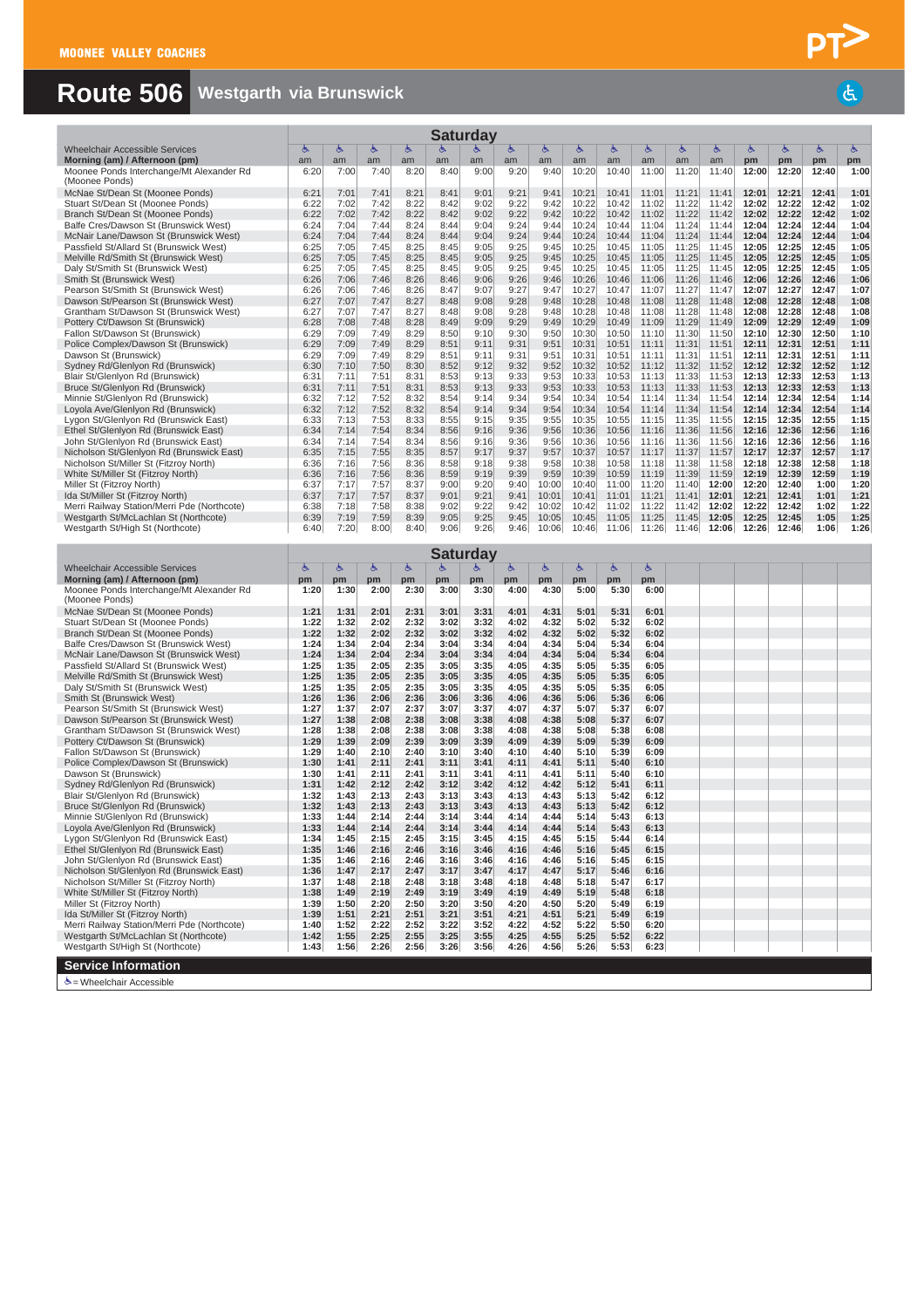# **Route 506 Westgarth via Brunswick**

|                                                                                      |              |              |              |              | Saturday     |              |              |                |                |                |                |                |                |                |                |                |              |
|--------------------------------------------------------------------------------------|--------------|--------------|--------------|--------------|--------------|--------------|--------------|----------------|----------------|----------------|----------------|----------------|----------------|----------------|----------------|----------------|--------------|
| <b>Wheelchair Accessible Services</b>                                                | ్            | ్            | Ġ.           | Ġ.           | Ġ.           |              | Ġ            | 西              | ్              | Ġ              | ్              | ్              | Ġ              | Ġ,             | ৬              | ৬              | 占            |
| Morning (am) / Afternoon (pm)<br>Moonee Ponds Interchange/Mt Alexander Rd            | am<br>6:20   | am<br>7:00   | am<br>7:40   | am<br>8:20   | am<br>8:40   | am<br>9:00   | am<br>9:20   | am<br>9:40     | am<br>10:20    | am<br>10:40    | am<br>11:00    | am<br>11:20    | am<br>11:40    | pm<br>12:00    | pm<br>12:20    | pm<br>12:40    | pm<br>1:00   |
| (Moonee Ponds)                                                                       |              |              |              |              |              |              |              |                |                |                |                |                |                |                |                |                |              |
| McNae St/Dean St (Moonee Ponds)                                                      | 6:21         | 7:01         | 7:41         | 8:21         | 8:41         | 9:01         | 9:21         | 9:41           | 10:21          | 10:41          | 11:01          | 11:21          | 11:41          | 12:01          | 12:21          | 12:41          | 1:01         |
| Stuart St/Dean St (Moonee Ponds)<br>Branch St/Dean St (Moonee Ponds)                 | 6:22<br>6:22 | 7:02<br>7:02 | 7:42<br>7:42 | 8:22<br>8:22 | 8:42<br>8:42 | 9:02<br>9:02 | 9:22<br>9:22 | 9:42<br>9:42   | 10:22<br>10:22 | 10:42<br>10:42 | 11:02<br>11:02 | 11:22<br>11:22 | 11:42<br>11:42 | 12:02<br>12:02 | 12:22<br>12:22 | 12:42<br>12:42 | 1:02<br>1:02 |
| Balfe Cres/Dawson St (Brunswick West)                                                | 6:24         | 7:04         | 7:44         | 8:24         | 8:44         | 9:04         | 9:24         | 9:44           | 10:24          | 10:44          | 11:04          | 11:24          | 11:44          | 12:04          | 12:24          | 12:44          | 1:04         |
| McNair Lane/Dawson St (Brunswick West)                                               | 6:24         | 7:04         | 7:44         | 8:24         | 8:44         | 9:04         | 9:24         | 9:44           | 10:24          | 10:44          | 11:04          | 11:24          | 11:44          | 12:04          | 12:24          | 12:44          | 1:04         |
| Passfield St/Allard St (Brunswick West)                                              | 6:25         | 7:05         | 7:45         | 8:25         | 8:45         | 9:05         | 9:25         | 9:45           | 10:25          | 10:45          | 11:05          | 11:25          | 11:45          | 12:05          | 12:25          | 12:45          | 1:05         |
| Melville Rd/Smith St (Brunswick West)                                                | 6:25         | 7:05         | 7:45         | 8:25<br>8:25 | 8:45         | 9:05         | 9:25         | 9:45           | 10:25          | 10:45          | 11:05          | 11:25          | 11:45          | 12:05          | 12:25<br>12:25 | 12:45          | 1:05<br>1:05 |
| Daly St/Smith St (Brunswick West)<br>Smith St (Brunswick West)                       | 6:25<br>6:26 | 7:05<br>7:06 | 7:45<br>7:46 | 8:26         | 8:45<br>8:46 | 9:05<br>9:06 | 9:25<br>9:26 | 9:45<br>9:46   | 10:25<br>10:26 | 10:45<br>10:46 | 11:05<br>11:06 | 11:25<br>11:26 | 11:45<br>11:46 | 12:05<br>12:06 | 12:26          | 12:45<br>12:46 | 1:06         |
| Pearson St/Smith St (Brunswick West)                                                 | 6:26         | 7:06         | 7:46         | 8:26         | 8:47         | 9:07         | 9:27         | 9:47           | 10:27          | 10:47          | 11:07          | 11:27          | 11:47          | 12:07          | 12:27          | 12:47          | 1:07         |
| Dawson St/Pearson St (Brunswick West)                                                | 6:27         | 7:07         | 7:47         | 8:27         | 8:48         | 9:08         | 9:28         | 9:48           | 10:28          | 10:48          | 11:08          | 11:28          | 11:48          | 12:08          | 12:28          | 12:48          | 1:08         |
| Grantham St/Dawson St (Brunswick West)                                               | 6:27<br>6:28 | 7:07         | 7:47<br>7:48 | 8:27         | 8:48<br>8:49 | 9:08         | 9:28         | 9:48           | 10:28          | 10:48          | 11:08          | 11:28          | 11:48          | 12:08          | 12:28          | 12:48          | 1:08<br>1:09 |
| Pottery Ct/Dawson St (Brunswick)<br>Fallon St/Dawson St (Brunswick)                  | 6:29         | 7:08<br>7:09 | 7:49         | 8:28<br>8:29 | 8:50         | 9:09<br>9:10 | 9:29<br>9:30 | 9:49<br>9:50   | 10:29<br>10:30 | 10:49<br>10:50 | 11:09<br>11:10 | 11:29<br>11:30 | 11:49<br>11:50 | 12:09<br>12:10 | 12:29<br>12:30 | 12:49<br>12:50 | 1:10         |
| Police Complex/Dawson St (Brunswick)                                                 | 6:29         | 7:09         | 7:49         | 8:29         | 8:51         | 9:11         | 9:31         | 9:51           | 10:31          | 10:51          | 11:11          | 11:31          | 11:51          | 12:11          | 12:31          | 12:51          | 1:11         |
| Dawson St (Brunswick)                                                                | 6:29         | 7:09         | 7:49         | 8:29         | 8:51         | 9:11         | 9:31         | 9:51           | 10:31          | 10:51          | 11:11          | 11:31          | 11:51          | 12:11          | 12:31          | 12:51          | 1:11         |
| Sydney Rd/Glenlyon Rd (Brunswick)                                                    | 6:30         | 7:10         | 7:50         | 8:30         | 8:52         | 9:12         | 9:32         | 9:52           | 10:32          | 10:52          | 11:12          | 11:32          | 11:52          | 12:12          | 12:32          | 12:52          | 1:12         |
| Blair St/Glenlyon Rd (Brunswick)<br>Bruce St/Glenlyon Rd (Brunswick)                 | 6:31<br>6:31 | 7:11<br>7:11 | 7:51<br>7:51 | 8:31<br>8:31 | 8:53<br>8:53 | 9:13<br>9:13 | 9:33<br>9:33 | 9:53<br>9:53   | 10:33<br>10:33 | 10:53<br>10:53 | 11:13<br>11:13 | 11:33<br>11:33 | 11:53<br>11:53 | 12:13<br>12:13 | 12:33<br>12:33 | 12:53<br>12:53 | 1:13<br>1:13 |
| Minnie St/Glenlyon Rd (Brunswick)                                                    | 6:32         | 7:12         | 7:52         | 8:32         | 8:54         | 9:14         | 9:34         | 9:54           | 10:34          | 10:54          | 11:14          | 11:34          | 11:54          | 12:14          | 12:34          | 12:54          | 1:14         |
| Loyola Ave/Glenlyon Rd (Brunswick)                                                   | 6:32         | 7:12         | 7:52         | 8:32         | 8:54         | 9:14         | 9:34         | 9:54           | 10:34          | 10:54          | 11:14          | 11:34          | 11:54          | 12:14          | 12:34          | 12:54          | 1:14         |
| Lygon St/Glenlyon Rd (Brunswick East)                                                | 6:33         | 7:13         | 7:53         | 8:33         | 8:55         | 9:15         | 9:35         | 9:55           | 10:35          | 10:55          | 11:15          | 11:35          | 11:55          | 12:15          | 12:35          | 12:55          | 1:15         |
| Ethel St/Glenlyon Rd (Brunswick East)<br>John St/Glenlyon Rd (Brunswick East)        | 6:34<br>6:34 | 7:14<br>7:14 | 7:54<br>7:54 | 8:34<br>8:34 | 8:56<br>8:56 | 9:16<br>9:16 | 9:36<br>9:36 | 9:56<br>9:56   | 10:36<br>10:36 | 10:56<br>10:56 | 11:16<br>11:16 | 11:36<br>11:36 | 11:56<br>11:56 | 12:16<br>12:16 | 12:36<br>12:36 | 12:56<br>12:56 | 1:16<br>1:16 |
| Nicholson St/Glenlyon Rd (Brunswick East)                                            | 6:35         | 7:15         | 7:55         | 8:35         | 8:57         | 9:17         | 9:37         | 9:57           | 10:37          | 10:57          | 11:17          | 11:37          | 11:57          | 12:17          | 12:37          | 12:57          | 1:17         |
| Nicholson St/Miller St (Fitzroy North)                                               | 6:36         | 7:16         | 7:56         | 8:36         | 8:58         | 9:18         | 9:38         | 9:58           | 10:38          | 10:58          | 11:18          | 11:38          | 11:58          | 12:18          | 12:38          | 12:58          | 1:18         |
| White St/Miller St (Fitzroy North)                                                   | 6:36         | 7:16         | 7:56         | 8:36         | 8:59         | 9:19         | 9:39         | 9:59           | 10:39          | 10:59          | 11:19          | 11:39          | 11:59          | 12:19          | 12:39          | 12:59          | 1:19         |
| Miller St (Fitzroy North)<br>Ida St/Miller St (Fitzroy North)                        | 6:37<br>6:37 | 7:17<br>7:17 | 7:57<br>7:57 | 8:37<br>8:37 | 9:00<br>9:01 | 9:20<br>9:21 | 9:40<br>9:41 | 10:00<br>10:01 | 10:40<br>10:41 | 11:00<br>11:01 | 11:20<br>11:21 | 11:40<br>11:41 | 12:00<br>12:01 | 12:20<br>12:21 | 12:40<br>12:41 | 1:00<br>1:01   | 1:20<br>1:21 |
| Merri Railway Station/Merri Pde (Northcote)                                          | 6:38         | 7:18         | 7:58         | 8:38         | 9:02         | 9:22         | 9:42         | 10:02          | 10:42          | 11:02          | 11:22          | 11:42          | 12:02          | 12:22          | 12:42          | 1:02           | 1:22         |
| Westgarth St/McLachlan St (Northcote)                                                | 6:39         | 7:19         | 7:59         | 8:39         | 9:05         | 9:25         | 9:45         | 10:05          | 10:45          | 11:05          | 11:25          | 11:45          | 12:05          | 12:25          | 12:45          | 1:05           | 1:25         |
| Westgarth St/High St (Northcote)                                                     | 6:40         | 7:20         | 8:00         | 8:40         | 9:06         | 9:26         | 9:46         | 10:06          | 10:46          | 11:06          | 11:26          | 11:46          | 12:06          | 12:26          | 12:46          | 1:06           | 1:26         |
|                                                                                      |              |              |              |              | Saturdav     |              |              |                |                |                |                |                |                |                |                |                |              |
| <b>Wheelchair Accessible Services</b>                                                | 酉            | Ġ,           | Ġ,           | Ġ.           | Ġ.           | Ġ.           | 占            | 占              | ٩              | ٩              | Ġ,             |                |                |                |                |                |              |
| Morning (am) / Afternoon (pm)                                                        | pm           | pm           | pm           | pm           | pm           | pm           | pm           | pm             | pm             | pm             | pm             |                |                |                |                |                |              |
| Moonee Ponds Interchange/Mt Alexander Rd<br>(Moonee Ponds)                           | 1:20         | 1:30         | 2:00         | 2:30         | 3:00         | 3:30         | 4:00         | 4:30           | 5:00           | 5:30           | 6:00           |                |                |                |                |                |              |
|                                                                                      |              |              |              |              |              |              |              |                |                |                |                |                |                |                |                |                |              |
| McNae St/Dean St (Moonee Ponds)                                                      | 1:21         | 1:31         | 2:01         | 2:31         | 3:01         | 3:31         | 4:01         | 4:31           | 5:01           | 5:31           | 6:01           |                |                |                |                |                |              |
| Stuart St/Dean St (Moonee Ponds)                                                     | 1:22         | 1:32         | 2:02         | 2:32         | 3:02         | 3:32         | 4:02         | 4:32           | 5:02           | 5:32           | 6:02           |                |                |                |                |                |              |
| Branch St/Dean St (Moonee Ponds)                                                     | 1:22         | 1:32         | 2:02         | 2:32         | 3:02         | 3:32         | 4:02         | 4:32           | 5:02           | 5:32           | 6:02           |                |                |                |                |                |              |
| Balfe Cres/Dawson St (Brunswick West)                                                | 1:24         | 1:34         | 2:04         | 2:34         | 3:04         | 3:34         | 4:04         | 4:34           | 5:04           | 5:34           | 6:04           |                |                |                |                |                |              |
| McNair Lane/Dawson St (Brunswick West)<br>Passfield St/Allard St (Brunswick West)    | 1:24<br>1:25 | 1:34<br>1:35 | 2:04<br>2:05 | 2:34<br>2:35 | 3:04<br>3:05 | 3:34<br>3:35 | 4:04<br>4:05 | 4:34<br>4:35   | 5:04<br>5:05   | 5:34<br>5:35   | 6:04<br>6:05   |                |                |                |                |                |              |
| Melville Rd/Smith St (Brunswick West)                                                | 1:25         | 1:35         | 2:05         | 2:35         | 3:05         | 3:35         | 4:05         | 4:35           | 5:05           | 5:35           | 6:05           |                |                |                |                |                |              |
| Daly St/Smith St (Brunswick West)                                                    | 1:25         | 1:35         | 2:05         | 2:35         | 3:05         | 3:35         | 4:05         | 4:35           | 5:05           | 5:35           | 6:05           |                |                |                |                |                |              |
| Smith St (Brunswick West)                                                            | 1:26         | 1:36         | 2:06         | 2:36         | 3:06         | 3:36         | 4:06         | 4:36           | 5:06           | 5:36           | 6:06           |                |                |                |                |                |              |
| Pearson St/Smith St (Brunswick West)<br>Dawson St/Pearson St (Brunswick West)        | 1:27<br>1:27 | 1:37<br>1:38 | 2:07<br>2:08 | 2:37<br>2:38 | 3:07<br>3:08 | 3:37<br>3:38 | 4:07<br>4:08 | 4:37<br>4:38   | 5:07<br>5:08   | 5:37<br>5:37   | 6:07<br>6:07   |                |                |                |                |                |              |
| Grantham St/Dawson St (Brunswick West)                                               | 1:28         | 1:38         | 2:08         | 2:38         | 3:08         | 3:38         | 4:08         | 4:38           | 5:08           | 5:38           | 6:08           |                |                |                |                |                |              |
| Pottery Ct/Dawson St (Brunswick)                                                     | 1:29         | 1:39         | 2:09         | 2:39         | 3:09         | 3:39         | 4:09         | 4:39           | 5:09           | 5:39           | 6:09           |                |                |                |                |                |              |
| Fallon St/Dawson St (Brunswick)                                                      | 1:29         | 1:40         | 2:10         | 2:40         | 3:10         | 3:40         | 4:10         | 4:40           | 5:10           | 5:39           | 6:09           |                |                |                |                |                |              |
| Police Complex/Dawson St (Brunswick)<br>Dawson St (Brunswick)                        | 1:30<br>1:30 | 1:41<br>1:41 | 2:11<br>2:11 | 2:41<br>2:41 | 3:11<br>3:11 | 3:41<br>3:41 | 4:11<br>4:11 | 4:41<br>4:41   | 5:11<br>5:11   | 5:40<br>5:40   | 6:10<br>6:10   |                |                |                |                |                |              |
| Sydney Rd/Glenlyon Rd (Brunswick)                                                    | 1:31         | 1:42         | 2:12         | 2:42         | 3:12         | 3:42         | 4:12         | 4:42           | 5:12           | 5:41           | 6:11           |                |                |                |                |                |              |
| Blair St/Glenlyon Rd (Brunswick)                                                     | 1:32         | 1:43         | 2:13         | 2:43         | 3:13         | 3:43         | 4:13         | 4:43           | 5:13           | 5:42           | 6:12           |                |                |                |                |                |              |
| Bruce St/Glenlyon Rd (Brunswick)                                                     | 1:32         | 1:43         | 2:13         | 2:43         | 3:13         | 3:43         | 4:13         | 4:43           | 5:13           | 5:42           | 6:12           |                |                |                |                |                |              |
| Minnie St/Glenlyon Rd (Brunswick)<br>Loyola Ave/Glenlyon Rd (Brunswick)              | 1:33<br>1:33 | 1:44<br>1:44 | 2:14<br>2:14 | 2:44<br>2:44 | 3:14<br>3:14 | 3:44<br>3:44 | 4:14<br>4:14 | 4:44<br>4:44   | 5:14<br>5:14   | 5:43<br>5:43   | 6:13<br>6:13   |                |                |                |                |                |              |
| Lygon St/Glenlyon Rd (Brunswick East)                                                | 1:34         | 1:45         | 2:15         | 2:45         | 3:15         | 3:45         | 4:15         | 4:45           | 5:15           | 5:44           | 6:14           |                |                |                |                |                |              |
| Ethel St/Glenlyon Rd (Brunswick East)                                                | 1:35         | 1:46         | 2:16         | 2:46         | 3:16         | 3:46         | 4:16         | 4:46           | 5:16           | 5:45           | 6:15           |                |                |                |                |                |              |
| John St/Glenlyon Rd (Brunswick East)                                                 | 1:35         | 1:46         | 2:16         | 2:46         | 3:16         | 3:46         | 4:16         | 4:46           | 5:16           | 5:45           | 6:15           |                |                |                |                |                |              |
| Nicholson St/Glenlyon Rd (Brunswick East)<br>Nicholson St/Miller St (Fitzroy North)  | 1:36<br>1:37 | 1:47<br>1:48 | 2:17<br>2:18 | 2:47<br>2:48 | 3:17<br>3:18 | 3:47<br>3:48 | 4:17<br>4:18 | 4:47<br>4:48   | 5:17<br>5:18   | 5:46<br>5:47   | 6:16<br>6:17   |                |                |                |                |                |              |
| White St/Miller St (Fitzroy North)                                                   | 1:38         | 1:49         | 2:19         | 2:49         | 3:19         | 3:49         | 4:19         | 4:49           | 5:19           | 5:48           | 6:18           |                |                |                |                |                |              |
| Miller St (Fitzroy North)                                                            | 1:39         | 1:50         | 2:20         | 2:50         | 3:20         | 3:50         | 4:20         | 4:50           | 5:20           | 5:49           | 6:19           |                |                |                |                |                |              |
| Ida St/Miller St (Fitzroy North)                                                     | 1:39         | 1:51         | 2:21         | 2:51         | 3:21         | 3:51         | 4:21         | 4:51           | 5:21           | 5:49           | 6:19           |                |                |                |                |                |              |
| Merri Railway Station/Merri Pde (Northcote)<br>Westgarth St/McLachlan St (Northcote) | 1:40<br>1:42 | 1:52<br>1:55 | 2:22<br>2:25 | 2:52<br>2:55 | 3:22<br>3:25 | 3:52<br>3:55 | 4:22<br>4:25 | 4:52<br>4:55   | 5:22<br>5:25   | 5:50<br>5:52   | 6:20<br>6:22   |                |                |                |                |                |              |
| Westgarth St/High St (Northcote)                                                     | 1:43         | 1:56         | 2:26         | 2:56         | 3:26         | 3:56         | 4:26         | 4:56           | 5:26           | 5:53           | 6:23           |                |                |                |                |                |              |

= Wheelchair Accessible

PT>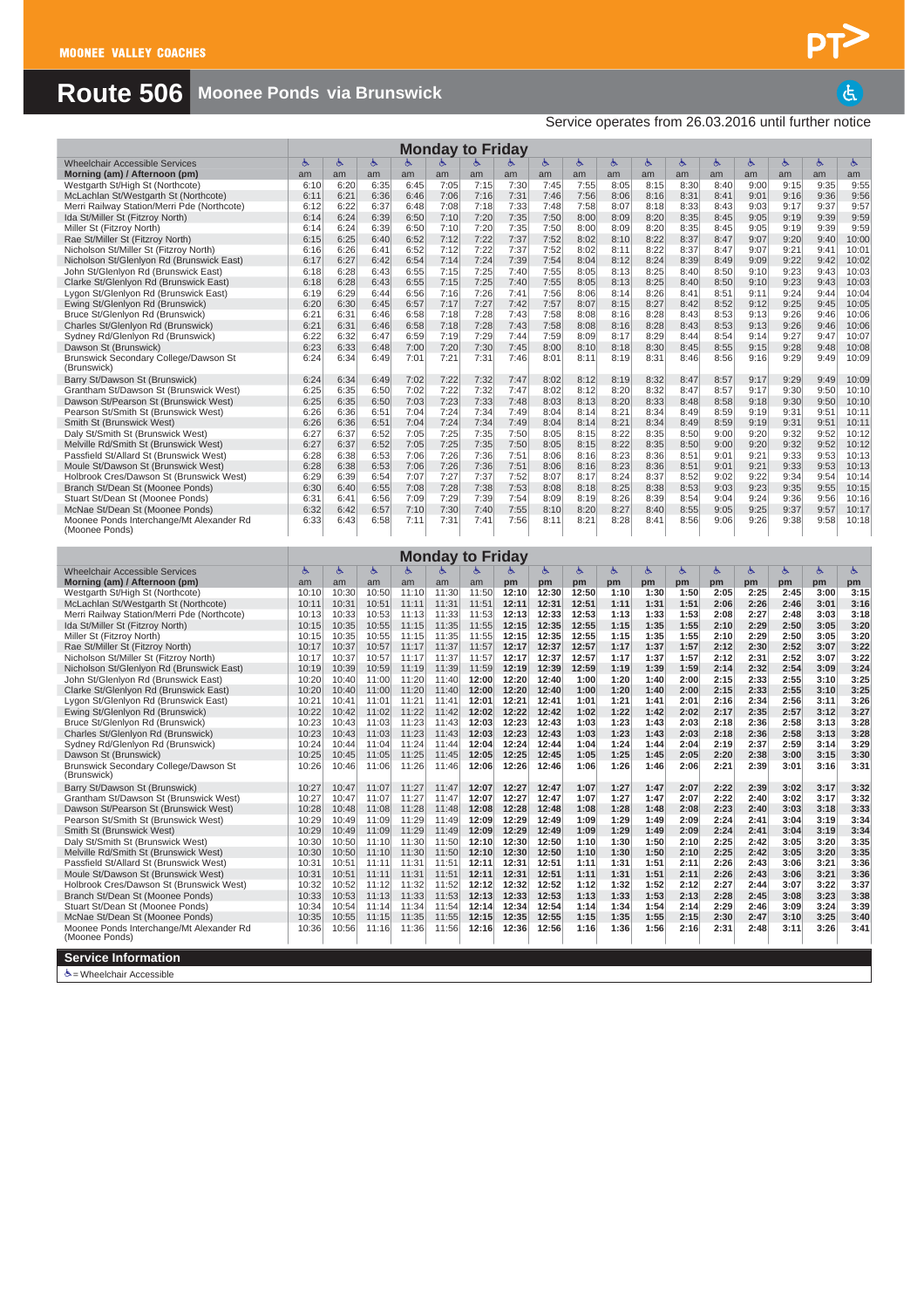### **Route 506 Moonee Ponds via Brunswick**

|                                                                                   |                |                |                |                | <b>Monday to Friday</b> |                |                |                |               |              |              |              |              |              |              |              |                |
|-----------------------------------------------------------------------------------|----------------|----------------|----------------|----------------|-------------------------|----------------|----------------|----------------|---------------|--------------|--------------|--------------|--------------|--------------|--------------|--------------|----------------|
| <b>Wheelchair Accessible Services</b>                                             | Ġ              | Ġ              | Ġ              | Ġ              | Ġ.                      |                |                | ৬              | Ġ             | Ġ            | Ġ            | Ġ            | Ġ            | Ġ.           | Ġ.           | Ġ            | க்             |
| Morning (am) / Afternoon (pm)                                                     | am             | am             | am             | am             | am                      | am             | am             | am             | am            | am           | am           | am           | am           | am           | am           | am           | am             |
| Westgarth St/High St (Northcote)<br>McLachlan St/Westgarth St (Northcote)         | 6:10<br>6:11   | 6:20<br>6:21   | 6:35<br>6:36   | 6:45<br>6:46   | 7:05<br>7:06            | 7:15<br>7:16   | 7:30<br>7:31   | 7:45<br>7:46   | 7:55<br>7:56  | 8:05<br>8:06 | 8:15<br>8:16 | 8:30<br>8:31 | 8:40<br>8:41 | 9:00<br>9:01 | 9:15<br>9:16 | 9:35<br>9:36 | 9:55<br>9:56   |
| Merri Railway Station/Merri Pde (Northcote)                                       | 6:12           | 6:22           | 6:37           | 6:48           | 7:08                    | 7:18           | 7:33           | 7:48           | 7:58          | 8:07         | 8:18         | 8:33         | 8:43         | 9:03         | 9:17         | 9:37         | 9:57           |
| Ida St/Miller St (Fitzroy North)                                                  | 6:14           | 6:24           | 6:39           | 6:50           | 7:10                    | 7:20           | 7:35           | 7:50           | 8:00          | 8:09         | 8:20         | 8:35         | 8:45         | 9:05         | 9:19         | 9:39         | 9:59           |
| Miller St (Fitzroy North)                                                         | 6:14           | 6:24           | 6:39           | 6:50           | 7:10                    | 7:20           | 7:35           | 7:50           | 8:00          | 8:09         | 8:20         | 8:35         | 8:45         | 9:05         | 9:19         | 9:39         | 9:59           |
| Rae St/Miller St (Fitzroy North)                                                  | 6:15           | 6:25           | 6:40           | 6:52           | 7:12                    | 7:22           | 7:37           | 7:52           | 8:02          | 8:10         | 8:22         | 8:37         | 8:47         | 9:07         | 9:20         | 9:40         | 10:00          |
| Nicholson St/Miller St (Fitzroy North)                                            | 6:16           | 6:26           | 6:41           | 6:52           | 7:12                    | 7:22           | 7:37           | 7:52           | 8:02          | 8:11         | 8:22         | 8:37         | 8:47         | 9:07         | 9:21         | 9:41         | 10:01          |
| Nicholson St/Glenlyon Rd (Brunswick East)<br>John St/Glenlyon Rd (Brunswick East) | 6:17<br>6:18   | 6:27<br>6:28   | 6:42<br>6:43   | 6:54<br>6:55   | 7:14<br>7:15            | 7:24<br>7:25   | 7:39<br>7:40   | 7:54<br>7:55   | 8:04<br>8:05  | 8:12<br>8:13 | 8:24<br>8:25 | 8:39<br>8:40 | 8:49<br>8:50 | 9:09<br>9:10 | 9:22<br>9:23 | 9:42<br>9:43 | 10:02<br>10:03 |
| Clarke St/Glenlyon Rd (Brunswick East)                                            | 6:18           | 6:28           | 6:43           | 6:55           | 7:15                    | 7:25           | 7:40           | 7:55           | 8:05          | 8:13         | 8:25         | 8:40         | 8:50         | 9:10         | 9:23         | 9:43         | 10:03          |
| Lygon St/Glenlyon Rd (Brunswick East)                                             | 6:19           | 6:29           | 6:44           | 6:56           | 7:16                    | 7:26           | 7:41           | 7:56           | 8:06          | 8:14         | 8:26         | 8:41         | 8:51         | 9:11         | 9:24         | 9:44         | 10:04          |
| Ewing St/Glenlyon Rd (Brunswick)                                                  | 6:20           | 6:30           | 6:45           | 6:57           | 7:17                    | 7:27           | 7:42           | 7:57           | 8:07          | 8:15         | 8:27         | 8:42         | 8:52         | 9:12         | 9:25         | 9:45         | 10:05          |
| Bruce St/Glenlyon Rd (Brunswick)                                                  | 6:21           | 6:31           | 6:46           | 6:58           | 7:18                    | 7:28           | 7:43           | 7:58           | 8:08          | 8:16         | 8:28         | 8:43         | 8:53         | 9:13         | 9:26         | 9:46         | 10:06          |
| Charles St/Glenlyon Rd (Brunswick)<br>Sydney Rd/Glenlyon Rd (Brunswick)           | 6:21<br>6:22   | 6:31<br>6:32   | 6:46<br>6:47   | 6:58<br>6:59   | 7:18<br>7:19            | 7:28<br>7:29   | 7:43<br>7:44   | 7:58<br>7:59   | 8:08<br>8:09  | 8:16<br>8:17 | 8:28<br>8:29 | 8:43<br>8:44 | 8:53<br>8:54 | 9:13<br>9:14 | 9:26<br>9:27 | 9:46<br>9:47 | 10:06<br>10:07 |
| Dawson St (Brunswick)                                                             | 6:23           | 6:33           | 6:48           | 7:00           | 7:20                    | 7:30           | 7:45           | 8:00           | 8:10          | 8:18         | 8:30         | 8:45         | 8:55         | 9:15         | 9:28         | 9:48         | 10:08          |
| Brunswick Secondary College/Dawson St                                             | 6:24           | 6:34           | 6:49           | 7:01           | 7:21                    | 7:31           | 7:46           | 8:01           | 8:11          | 8:19         | 8:31         | 8:46         | 8:56         | 9:16         | 9:29         | 9:49         | 10:09          |
| (Brunswick)                                                                       |                |                |                |                |                         |                |                |                |               |              |              |              |              |              |              |              |                |
| Barry St/Dawson St (Brunswick)                                                    | 6:24           | 6:34           | 6:49           | 7:02           | 7:22                    | 7:32           | 7:47           | 8:02           | 8:12          | 8:19         | 8:32         | 8:47         | 8:57         | 9:17         | 9:29         | 9:49         | 10:09          |
| Grantham St/Dawson St (Brunswick West)                                            | 6:25           | 6:35           | 6:50           | 7:02           | 7:22                    | 7:32           | 7:47           | 8:02           | 8:12          | 8:20         | 8:32         | 8:47         | 8:57         | 9:17         | 9:30         | 9:50         | 10:10          |
| Dawson St/Pearson St (Brunswick West)<br>Pearson St/Smith St (Brunswick West)     | 6:25<br>6:26   | 6:35<br>6:36   | 6:50<br>6:51   | 7:03<br>7:04   | 7:23<br>7:24            | 7:33<br>7:34   | 7:48<br>7:49   | 8:03<br>8:04   | 8:13<br>8:14  | 8:20<br>8:21 | 8:33<br>8:34 | 8:48<br>8:49 | 8:58<br>8:59 | 9:18<br>9:19 | 9:30<br>9:31 | 9:50<br>9:51 | 10:10<br>10:11 |
| Smith St (Brunswick West)                                                         | 6:26           | 6:36           | 6:51           | 7:04           | 7:24                    | 7:34           | 7:49           | 8:04           | 8:14          | 8:21         | 8:34         | 8:49         | 8:59         | 9:19         | 9:31         | 9:51         | 10:11          |
| Daly St/Smith St (Brunswick West)                                                 | 6:27           | 6:37           | 6:52           | 7:05           | 7:25                    | 7:35           | 7:50           | 8:05           | 8:15          | 8:22         | 8:35         | 8:50         | 9:00         | 9:20         | 9:32         | 9:52         | 10:12          |
| Melville Rd/Smith St (Brunswick West)                                             | 6:27           | 6:37           | 6:52           | 7:05           | 7:25                    | 7:35           | 7:50           | 8:05           | 8:15          | 8:22         | 8:35         | 8:50         | 9:00         | 9:20         | 9:32         | 9:52         | 10:12          |
| Passfield St/Allard St (Brunswick West)                                           | 6:28           | 6:38           | 6:53           | 7:06           | 7:26                    | 7:36           | 7:51           | 8:06           | 8:16          | 8:23         | 8:36         | 8:51         | 9:01         | 9:21         | 9:33         | 9:53         | 10:13          |
| Moule St/Dawson St (Brunswick West)                                               | 6:28           | 6:38           | 6:53           | 7:06           | 7:26                    | 7:36           | 7:51           | 8:06           | 8:16          | 8:23         | 8:36         | 8:51         | 9:01         | 9:21         | 9:33         | 9:53         | 10:13          |
| Holbrook Cres/Dawson St (Brunswick West)<br>Branch St/Dean St (Moonee Ponds)      | 6:29<br>6:30   | 6:39<br>6:40   | 6:54<br>6:55   | 7:07<br>7:08   | 7:27<br>7:28            | 7:37<br>7:38   | 7:52<br>7:53   | 8:07<br>8:08   | 8:17<br>8:18  | 8:24<br>8:25 | 8:37<br>8:38 | 8:52<br>8:53 | 9:02<br>9:03 | 9:22<br>9:23 | 9:34<br>9:35 | 9:54<br>9:55 | 10:14<br>10:15 |
| Stuart St/Dean St (Moonee Ponds)                                                  | 6:31           | 6:41           | 6:56           | 7:09           | 7:29                    | 7:39           | 7:54           | 8:09           | 8:19          | 8:26         | 8:39         | 8:54         | 9:04         | 9:24         | 9:36         | 9:56         | 10:16          |
| McNae St/Dean St (Moonee Ponds)                                                   | 6:32           | 6:42           | 6:57           | 7:10           | 7:30                    | 7:40           | 7:55           | 8:10           | 8:20          | 8:27         | 8:40         | 8:55         | 9:05         | 9:25         | 9:37         | 9:57         | 10:17          |
| Moonee Ponds Interchange/Mt Alexander Rd                                          | 6:33           | 6:43           | 6:58           | 7:11           | 7:31                    | 7:41           | 7:56           | 8:11           | 8:21          | 8:28         | 8:41         | 8:56         | 9:06         | 9:26         | 9:38         | 9:58         | 10:18          |
| (Moonee Ponds)                                                                    |                |                |                |                |                         |                |                |                |               |              |              |              |              |              |              |              |                |
|                                                                                   |                |                |                |                |                         |                |                |                |               |              |              |              |              |              |              |              |                |
|                                                                                   |                |                |                |                | <b>Monday to Friday</b> |                |                |                |               |              |              |              |              |              |              |              |                |
| <b>Wheelchair Accessible Services</b><br>Morning (am) / Afternoon (pm)            | Ġ<br>am        | Ġ<br>am        | Ġ<br>am        | Ġ.<br>am       | ৬<br>am                 | ৬<br>am        | 占<br>pm        | ్<br>pm        | க்<br>pm      | Ġ,<br>pm     | Ġ,<br>pm     | ځ<br>pm      | ৬<br>pm      | ৬<br>pm      | 占<br>pm      | 酉<br>pm      | ふ<br>pm        |
| Westgarth St/High St (Northcote)                                                  | 10:10          | 10:30          | 10:50          | 11:10          | 11:30                   | 11:50          | 12:10          | 12:30          | 12:50         | 1:10         | 1:30         | 1:50         | 2:05         | 2:25         | 2:45         | 3:00         | 3:15           |
| McLachlan St/Westgarth St (Northcote)                                             | 10:11          | 10:31          | 10:51          | 11:11          | 11:31                   | 11:51          | 12:11          | 12:31          | 12:51         | 1:11         | 1:31         | 1:51         | 2:06         | 2:26         | 2:46         | 3:01         | 3:16           |
| Merri Railway Station/Merri Pde (Northcote)                                       |                |                |                |                |                         |                |                |                |               |              |              |              |              |              |              | 3:03         | 3:18           |
|                                                                                   | 10:13          | 10:33          | 10:53          | 11:13          | 11:33                   | 11:53          | 12:13          | 12:33          | 12:53         | 1:13         | 1:33         | 1:53         | 2:08         | 2:27         | 2:48         |              |                |
| Ida St/Miller St (Fitzroy North)                                                  | 10:15          | 10:35          | 10:55          | 11:15          | 11:35                   | 11:55          | 12:15          | 12:35          | 12:55         | 1:15         | 1:35         | 1:55         | 2:10         | 2:29         | 2:50         | 3:05         | 3:20           |
| Miller St (Fitzroy North)                                                         | 10:15          | 10:35          | 10:55          | 11:15          | 11:35                   | 11:55          | 12:15          | 12:35          | 12:55         | 1:15         | 1:35         | 1:55         | 2:10         | 2:29         | 2:50         | 3:05         | 3:20           |
| Rae St/Miller St (Fitzroy North)                                                  | 10:17          | 10:37          | 10:57          | 11:17          | 11:37                   | 11:57          | 12:17          | 12:37          | 12:57         | 1:17         | 1:37         | 1:57         | 2:12         | 2:30         | 2:52         | 3:07         | 3:22           |
| Nicholson St/Miller St (Fitzroy North)                                            | 10:17          | 10:37          | 10:57          | 11:17          | 11:37                   | 11:57          | 12:17          | 12:37          | 12:57         | 1:17         | 1:37         | 1:57         | 2:12         | 2:31         | 2:52         | 3:07         | 3:22           |
| Nicholson St/Glenlyon Rd (Brunswick East)<br>John St/Glenlyon Rd (Brunswick East) | 10:19<br>10:20 | 10:39<br>10:40 | 10:59<br>11:00 | 11:19<br>11:20 | 11:39<br>11:40          | 11:59<br>12:00 | 12:19<br>12:20 | 12:39<br>12:40 | 12:59<br>1:00 | 1:19<br>1:20 | 1:39<br>1:40 | 1:59<br>2:00 | 2:14<br>2:15 | 2:32<br>2:33 | 2:54<br>2:55 | 3:09<br>3:10 | 3:24<br>3:25   |
| Clarke St/Glenlyon Rd (Brunswick East)                                            | 10:20          | 10:40          | 11:00          | 11:20          | 11:40                   | 12:00          | 12:20          | 12:40          | 1:00          | 1:20         | 1:40         | 2:00         | 2:15         | 2:33         | 2:55         | 3:10         | 3:25           |
| Lygon St/Glenlyon Rd (Brunswick East)                                             | 10:21          | 10:41          | 11:01          | 11:21          | 11:41                   | 12:01          | 12:21          | 12:41          | 1:01          | 1:21         | 1:41         | 2:01         | 2:16         | 2:34         | 2:56         | 3:11         | 3:26           |
| Ewing St/Glenlyon Rd (Brunswick)                                                  | 10:22          | 10:42          | 11:02          | 11:22          | 11:42                   | 12:02          | 12:22          | 12:42          | 1:02          | 1:22         | 1:42         | 2:02         | 2:17         | 2:35         | 2:57         | 3:12         | 3:27           |
| Bruce St/Glenlyon Rd (Brunswick)                                                  | 10:23          | 10:43          | 11:03          | 11:23          | 11:43                   | 12:03          | 12:23          | 12:43          | 1:03          | 1:23         | 1:43         | 2:03         | 2:18         | 2:36         | 2:58         | 3:13         | 3:28           |
| Charles St/Glenlyon Rd (Brunswick)<br>Sydney Rd/Glenlyon Rd (Brunswick)           | 10:23<br>10:24 | 10:43<br>10:44 | 11:03<br>11:04 | 11:23<br>11:24 | 11:43<br>11:44          | 12:03<br>12:04 | 12:23<br>12:24 | 12:43<br>12:44 | 1:03<br>1:04  | 1:23<br>1:24 | 1:43<br>1:44 | 2:03<br>2:04 | 2:18<br>2:19 | 2:36<br>2:37 | 2:58<br>2:59 | 3:13<br>3:14 | 3:28<br>3:29   |
| Dawson St (Brunswick)                                                             | 10:25          | 10:45          | 11:05          | 11:25          | 11:45                   | 12:05          | 12:25          | 12:45          | 1:05          | 1:25         | 1:45         | 2:05         | 2:20         | 2:38         | 3:00         | 3:15         | 3:30           |
| Brunswick Secondary College/Dawson St                                             | 10:26          | 10:46          | 11:06          | 11:26          | 11:46                   | 12:06          | 12:26          | 12:46          | 1:06          | 1:26         | 1:46         | 2:06         | 2:21         | 2:39         | 3:01         | 3:16         | 3:31           |
| (Brunswick)                                                                       |                |                |                |                |                         |                |                |                |               |              |              |              |              |              |              |              |                |
| Barry St/Dawson St (Brunswick)                                                    | 10:27          | 10:47          | 11:07          | 11:27          | 11:47                   | 12:07          | 12:27          | 12:47          | 1:07          | 1:27         | 1:47         | 2:07         | 2:22         | 2:39         | 3:02         | 3:17         | 3:32           |
| Grantham St/Dawson St (Brunswick West)                                            | 10:27          | 10:47          | 11:07<br>11:08 | 11:27          | 11:47<br>11:48          | 12:07<br>12:08 | 12:27<br>12:28 | 12:47<br>12:48 | 1:07<br>1:08  | 1:27<br>1:28 | 1:47<br>1:48 | 2:07<br>2:08 | 2:22<br>2:23 | 2:40<br>2:40 | 3:02<br>3:03 | 3:17<br>3:18 | 3:32<br>3:33   |
| Dawson St/Pearson St (Brunswick West)<br>Pearson St/Smith St (Brunswick West)     | 10:28<br>10:29 | 10:48<br>10:49 | 11:09          | 11:28<br>11:29 | 11:49                   | 12:09          | 12:29          | 12:49          | 1:09          | 1:29         | 1:49         | 2:09         | 2:24         | 2:41         | 3:04         | 3:19         | 3:34           |
| Smith St (Brunswick West)                                                         | 10:29          | 10:49          | 11:09          | 11:29          | 11:49                   | 12:09          | 12:29          | 12:49          | 1:09          | 1:29         | 1:49         | 2:09         | 2:24         | 2:41         | 3:04         | 3:19         | 3:34           |
| Daly St/Smith St (Brunswick West)                                                 | 10:30          | 10:50          | 11:10          | 11:30          | 11:50                   | 12:10          | 12:30          | 12:50          | 1:10          | 1:30         | 1:50         | 2:10         | 2:25         | 2:42         | 3:05         | 3:20         | 3:35           |
| Melville Rd/Smith St (Brunswick West)                                             | 10:30          | 10:50          | 11:10          | 11:30          | 11:50                   | 12:10          | 12:30          | 12:50          | 1:10          | 1:30         | 1:50         | 2:10         | 2:25         | 2:42         | 3:05         | 3:20         | 3:35           |
| Passfield St/Allard St (Brunswick West)                                           | 10:31          | 10:51          | 11:11          | 11:31          | 11:51                   | 12:11          | 12:31          | 12:51          | 1:11          | 1:31         | 1:51         | 2:11         | 2:26         | 2:43         | 3:06         | 3:21         | 3:36           |
| Moule St/Dawson St (Brunswick West)<br>Holbrook Cres/Dawson St (Brunswick West)   | 10:31<br>10:32 | 10:51<br>10:52 | 11:11<br>11:12 | 11:31<br>11:32 | 11:51<br>11:52          | 12:11<br>12:12 | 12:31<br>12:32 | 12:51<br>12:52 | 1:11<br>1:12  | 1:31<br>1:32 | 1:51<br>1:52 | 2:11<br>2:12 | 2:26<br>2:27 | 2:43<br>2:44 | 3:06<br>3:07 | 3:21<br>3:22 | 3:36<br>3:37   |
| Branch St/Dean St (Moonee Ponds)                                                  | 10:33          | 10:53          | 11:13          | 11:33          | 11:53                   | 12:13          | 12:33          | 12:53          | 1:13          | 1:33         | 1:53         | 2:13         | 2:28         | 2:45         | 3:08         | 3:23         | 3:38           |
| Stuart St/Dean St (Moonee Ponds)                                                  | 10:34          | 10:54          | 11:14          | 11:34          | 11:54                   | 12:14          | 12:34          | 12:54          | 1:14          | 1:34         | 1:54         | 2:14         | 2:29         | 2:46         | 3:09         | 3:24         | 3:39           |
| McNae St/Dean St (Moonee Ponds)                                                   | 10:35          | 10:55          | 11:15          | 11:35          | 11:55                   | 12:15          | 12:35          | 12:55          | 1:15          | 1:35         | 1:55         | 2:15         | 2:30         | 2:47         | 3:10         | 3:25         | 3:40           |
| Moonee Ponds Interchange/Mt Alexander Rd                                          | 10:36          | 10:56          | 11:16          | 11:36          | 11:56                   | 12:16          | 12:36          | 12:56          | 1:16          | 1:36         | 1:56         | 2:16         | 2:31         | 2:48         | 3:11         | 3:26         | 3:41           |
| (Moonee Ponds)<br><b>Service Information</b>                                      |                |                |                |                |                         |                |                |                |               |              |              |              |              |              |              |              |                |

 $\dot{\Phi}$  = Wheelchair Accessible

 $\overline{a}$ Service operates from 26.03.2016 until further notice

PT>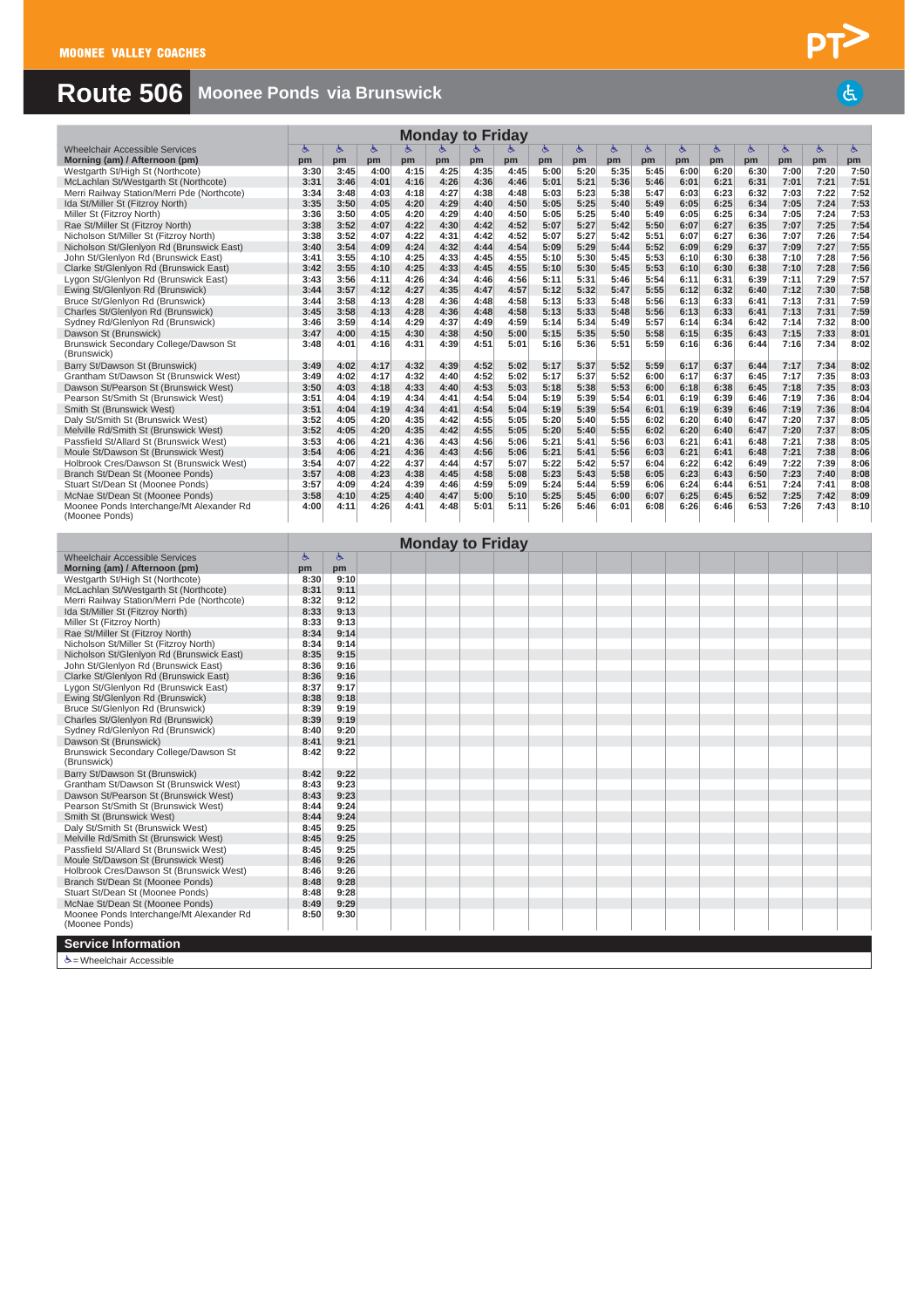## **Route 506 Moonee Ponds via Brunswick**

|                                                            |      |      |      |      |      | <b>Monday to Friday</b> |      |      |      |      |      |      |      |      |      |      |      |
|------------------------------------------------------------|------|------|------|------|------|-------------------------|------|------|------|------|------|------|------|------|------|------|------|
| Wheelchair Accessible Services                             | 酉    | ৬    | ৬    | Ġ.   | 占    | 志                       | 占    | 西    | Ġ.   | ৬    | Ġ.   | Ġ.   | Ġ.   | Ġ.   | Ġ.   | 占    | Ġ.   |
| Morning (am) / Afternoon (pm)                              | pm   | pm   | pm   | pm   | pm   | pm                      | pm   | pm   | pm   | pm   | pm   | pm   | pm   | pm   | pm   | pm   | pm   |
| Westgarth St/High St (Northcote)                           | 3:30 | 3:45 | 4:00 | 4:15 | 4:25 | 4:35                    | 4:45 | 5:00 | 5:20 | 5:35 | 5:45 | 6:00 | 6:20 | 6:30 | 7:00 | 7:20 | 7:50 |
| McLachlan St/Westgarth St (Northcote)                      | 3:31 | 3:46 | 4:01 | 4:16 | 4:26 | 4:36                    | 4:46 | 5:01 | 5:21 | 5:36 | 5:46 | 6:01 | 6:21 | 6:31 | 7:01 | 7:21 | 7:51 |
| Merri Railway Station/Merri Pde (Northcote)                | 3:34 | 3:48 | 4:03 | 4:18 | 4:27 | 4:38                    | 4:48 | 5:03 | 5:23 | 5:38 | 5:47 | 6:03 | 6:23 | 6:32 | 7:03 | 7:22 | 7:52 |
| Ida St/Miller St (Fitzroy North)                           | 3:35 | 3:50 | 4:05 | 4:20 | 4:29 | 4:40                    | 4:50 | 5:05 | 5:25 | 5:40 | 5:49 | 6:05 | 6:25 | 6:34 | 7:05 | 7:24 | 7:53 |
| Miller St (Fitzroy North)                                  | 3:36 | 3:50 | 4:05 | 4:20 | 4:29 | 4:40                    | 4:50 | 5:05 | 5:25 | 5:40 | 5:49 | 6:05 | 6:25 | 6:34 | 7:05 | 7:24 | 7:53 |
| Rae St/Miller St (Fitzroy North)                           | 3:38 | 3:52 | 4:07 | 4:22 | 4:30 | 4:42                    | 4:52 | 5:07 | 5:27 | 5:42 | 5:50 | 6:07 | 6:27 | 6:35 | 7:07 | 7:25 | 7:54 |
| Nicholson St/Miller St (Fitzroy North)                     | 3:38 | 3:52 | 4:07 | 4:22 | 4:31 | 4:42                    | 4:52 | 5:07 | 5:27 | 5:42 | 5:51 | 6:07 | 6:27 | 6:36 | 7:07 | 7:26 | 7:54 |
| Nicholson St/Glenlyon Rd (Brunswick East)                  | 3:40 | 3:54 | 4:09 | 4:24 | 4:32 | 4:44                    | 4:54 | 5:09 | 5:29 | 5:44 | 5:52 | 6:09 | 6:29 | 6:37 | 7:09 | 7:27 | 7:55 |
| John St/Glenlyon Rd (Brunswick East)                       | 3:41 | 3:55 | 4:10 | 4:25 | 4:33 | 4:45                    | 4:55 | 5:10 | 5:30 | 5:45 | 5:53 | 6:10 | 6:30 | 6:38 | 7:10 | 7:28 | 7:56 |
| Clarke St/Glenlyon Rd (Brunswick East)                     | 3:42 | 3:55 | 4:10 | 4:25 | 4:33 | 4:45                    | 4:55 | 5:10 | 5:30 | 5:45 | 5:53 | 6:10 | 6:30 | 6:38 | 7:10 | 7:28 | 7:56 |
| Lygon St/Glenlyon Rd (Brunswick East)                      | 3:43 | 3:56 | 4:11 | 4:26 | 4:34 | 4:46                    | 4:56 | 5:11 | 5:31 | 5:46 | 5:54 | 6:11 | 6:31 | 6:39 | 7:11 | 7:29 | 7:57 |
| Ewing St/Glenlyon Rd (Brunswick)                           | 3:44 | 3:57 | 4:12 | 4:27 | 4:35 | 4:47                    | 4:57 | 5:12 | 5:32 | 5:47 | 5:55 | 6:12 | 6:32 | 6:40 | 7:12 | 7:30 | 7:58 |
| Bruce St/Glenlyon Rd (Brunswick)                           | 3:44 | 3:58 | 4:13 | 4:28 | 4:36 | 4:48                    | 4:58 | 5:13 | 5:33 | 5:48 | 5:56 | 6:13 | 6:33 | 6:41 | 7:13 | 7:31 | 7:59 |
| Charles St/Glenlyon Rd (Brunswick)                         | 3:45 | 3:58 | 4:13 | 4:28 | 4:36 | 4:48                    | 4:58 | 5:13 | 5:33 | 5:48 | 5:56 | 6:13 | 6:33 | 6:41 | 7:13 | 7:31 | 7:59 |
| Sydney Rd/Glenlyon Rd (Brunswick)                          | 3:46 | 3:59 | 4:14 | 4:29 | 4:37 | 4:49                    | 4:59 | 5:14 | 5:34 | 5:49 | 5:57 | 6:14 | 6:34 | 6:42 | 7:14 | 7:32 | 8:00 |
| Dawson St (Brunswick)                                      | 3:47 | 4:00 | 4:15 | 4:30 | 4:38 | 4:50                    | 5:00 | 5:15 | 5:35 | 5:50 | 5:58 | 6:15 | 6:35 | 6:43 | 7:15 | 7:33 | 8:01 |
| Brunswick Secondary College/Dawson St<br>(Brunswick)       | 3:48 | 4:01 | 4:16 | 4:31 | 4:39 | 4:51                    | 5:01 | 5:16 | 5:36 | 5:51 | 5:59 | 6:16 | 6:36 | 6:44 | 7:16 | 7:34 | 8:02 |
| Barry St/Dawson St (Brunswick)                             | 3:49 | 4:02 | 4:17 | 4:32 | 4:39 | 4:52                    | 5:02 | 5:17 | 5:37 | 5:52 | 5:59 | 6:17 | 6:37 | 6:44 | 7:17 | 7:34 | 8:02 |
| Grantham St/Dawson St (Brunswick West)                     | 3:49 | 4:02 | 4:17 | 4:32 | 4:40 | 4:52                    | 5:02 | 5:17 | 5:37 | 5:52 | 6:00 | 6:17 | 6:37 | 6:45 | 7:17 | 7:35 | 8:03 |
| Dawson St/Pearson St (Brunswick West)                      | 3:50 | 4:03 | 4:18 | 4:33 | 4:40 | 4:53                    | 5:03 | 5:18 | 5:38 | 5:53 | 6:00 | 6:18 | 6:38 | 6:45 | 7:18 | 7:35 | 8:03 |
| Pearson St/Smith St (Brunswick West)                       | 3:51 | 4:04 | 4:19 | 4:34 | 4:41 | 4:54                    | 5:04 | 5:19 | 5:39 | 5:54 | 6:01 | 6:19 | 6:39 | 6:46 | 7:19 | 7:36 | 8:04 |
| Smith St (Brunswick West)                                  | 3:51 | 4:04 | 4:19 | 4:34 | 4:41 | 4:54                    | 5:04 | 5:19 | 5:39 | 5:54 | 6:01 | 6:19 | 6:39 | 6:46 | 7:19 | 7:36 | 8:04 |
| Daly St/Smith St (Brunswick West)                          | 3:52 | 4:05 | 4:20 | 4:35 | 4:42 | 4:55                    | 5:05 | 5:20 | 5:40 | 5:55 | 6:02 | 6:20 | 6:40 | 6:47 | 7:20 | 7:37 | 8:05 |
| Melville Rd/Smith St (Brunswick West)                      | 3:52 | 4:05 | 4:20 | 4:35 | 4:42 | 4:55                    | 5:05 | 5:20 | 5:40 | 5:55 | 6:02 | 6:20 | 6:40 | 6:47 | 7:20 | 7:37 | 8:05 |
| Passfield St/Allard St (Brunswick West)                    | 3:53 | 4:06 | 4:21 | 4:36 | 4:43 | 4:56                    | 5:06 | 5:21 | 5:41 | 5:56 | 6:03 | 6:21 | 6:41 | 6:48 | 7:21 | 7:38 | 8:05 |
| Moule St/Dawson St (Brunswick West)                        | 3:54 | 4:06 | 4:21 | 4:36 | 4:43 | 4:56                    | 5:06 | 5:21 | 5:41 | 5:56 | 6:03 | 6:21 | 6:41 | 6:48 | 7:21 | 7:38 | 8:06 |
| Holbrook Cres/Dawson St (Brunswick West)                   | 3:54 | 4:07 | 4:22 | 4:37 | 4:44 | 4:57                    | 5:07 | 5:22 | 5:42 | 5:57 | 6:04 | 6:22 | 6:42 | 6:49 | 7:22 | 7:39 | 8:06 |
| Branch St/Dean St (Moonee Ponds)                           | 3:57 | 4:08 | 4:23 | 4:38 | 4:45 | 4:58                    | 5:08 | 5:23 | 5:43 | 5:58 | 6:05 | 6:23 | 6:43 | 6:50 | 7:23 | 7:40 | 8:08 |
| Stuart St/Dean St (Moonee Ponds)                           | 3:57 | 4:09 | 4:24 | 4:39 | 4:46 | 4:59                    | 5:09 | 5:24 | 5:44 | 5:59 | 6:06 | 6:24 | 6:44 | 6:51 | 7:24 | 7:41 | 8:08 |
| McNae St/Dean St (Moonee Ponds)                            | 3:58 | 4:10 | 4:25 | 4:40 | 4:47 | 5:00                    | 5:10 | 5:25 | 5:45 | 6:00 | 6:07 | 6:25 | 6:45 | 6:52 | 7:25 | 7:42 | 8:09 |
| Moonee Ponds Interchange/Mt Alexander Rd<br>(Moonee Ponds) | 4:00 | 4:11 | 4:26 | 4:41 | 4:48 | 5:01                    | 5:11 | 5:26 | 5:46 | 6:01 | 6:08 | 6:26 | 6:46 | 6:53 | 7:26 | 7:43 | 8:10 |
|                                                            |      |      |      |      |      | <b>Monday to Friday</b> |      |      |      |      |      |      |      |      |      |      |      |
| <b>Wheelchair Accessible Services</b>                      | Ò    | Ġ.   |      |      |      |                         |      |      |      |      |      |      |      |      |      |      |      |
| Morning (am) / Afternoon (pm)                              | pm   | pm   |      |      |      |                         |      |      |      |      |      |      |      |      |      |      |      |
| Westgarth St/High St (Northcote)                           | 8:30 | 9:10 |      |      |      |                         |      |      |      |      |      |      |      |      |      |      |      |
| Mol coblan C+/Montgorth C+ (Northooto)                     | 0.24 | 0.44 |      |      |      |                         |      |      |      |      |      |      |      |      |      |      |      |

| <b>Morning (am) / Afternoon (pm)</b>                       | pm   | pm   |  |  |  |  |  |  |
|------------------------------------------------------------|------|------|--|--|--|--|--|--|
| Westgarth St/High St (Northcote)                           | 8:30 | 9:10 |  |  |  |  |  |  |
| McLachlan St/Westgarth St (Northcote)                      | 8:31 | 9:11 |  |  |  |  |  |  |
| Merri Railway Station/Merri Pde (Northcote)                | 8:32 | 9:12 |  |  |  |  |  |  |
| Ida St/Miller St (Fitzroy North)                           | 8:33 | 9:13 |  |  |  |  |  |  |
| Miller St (Fitzroy North)                                  | 8:33 | 9:13 |  |  |  |  |  |  |
| Rae St/Miller St (Fitzroy North)                           | 8:34 | 9:14 |  |  |  |  |  |  |
| Nicholson St/Miller St (Fitzroy North)                     | 8:34 | 9:14 |  |  |  |  |  |  |
| Nicholson St/Glenlyon Rd (Brunswick East)                  | 8:35 | 9:15 |  |  |  |  |  |  |
| John St/Glenlyon Rd (Brunswick East)                       | 8:36 | 9:16 |  |  |  |  |  |  |
| Clarke St/Glenlyon Rd (Brunswick East)                     | 8:36 | 9:16 |  |  |  |  |  |  |
| Lygon St/Glenlyon Rd (Brunswick East)                      | 8:37 | 9:17 |  |  |  |  |  |  |
| Ewing St/Glenlyon Rd (Brunswick)                           | 8:38 | 9:18 |  |  |  |  |  |  |
| Bruce St/Glenlyon Rd (Brunswick)                           | 8:39 | 9:19 |  |  |  |  |  |  |
| Charles St/Glenlyon Rd (Brunswick)                         | 8:39 | 9:19 |  |  |  |  |  |  |
| Sydney Rd/Glenlyon Rd (Brunswick)                          | 8:40 | 9:20 |  |  |  |  |  |  |
| Dawson St (Brunswick)                                      | 8:41 | 9:21 |  |  |  |  |  |  |
| Brunswick Secondary College/Dawson St<br>(Brunswick)       | 8:42 | 9:22 |  |  |  |  |  |  |
| Barry St/Dawson St (Brunswick)                             | 8:42 | 9:22 |  |  |  |  |  |  |
| Grantham St/Dawson St (Brunswick West)                     | 8:43 | 9:23 |  |  |  |  |  |  |
| Dawson St/Pearson St (Brunswick West)                      | 8:43 | 9:23 |  |  |  |  |  |  |
| Pearson St/Smith St (Brunswick West)                       | 8:44 | 9:24 |  |  |  |  |  |  |
| Smith St (Brunswick West)                                  | 8:44 | 9:24 |  |  |  |  |  |  |
| Daly St/Smith St (Brunswick West)                          | 8:45 | 9:25 |  |  |  |  |  |  |
| Melville Rd/Smith St (Brunswick West)                      | 8:45 | 9:25 |  |  |  |  |  |  |
| Passfield St/Allard St (Brunswick West)                    | 8:45 | 9:25 |  |  |  |  |  |  |
| Moule St/Dawson St (Brunswick West)                        | 8:46 | 9:26 |  |  |  |  |  |  |
| Holbrook Cres/Dawson St (Brunswick West)                   | 8:46 | 9:26 |  |  |  |  |  |  |
| Branch St/Dean St (Moonee Ponds)                           | 8:48 | 9:28 |  |  |  |  |  |  |
| Stuart St/Dean St (Moonee Ponds)                           | 8:48 | 9:28 |  |  |  |  |  |  |
| McNae St/Dean St (Moonee Ponds)                            | 8:49 | 9:29 |  |  |  |  |  |  |
| Moonee Ponds Interchange/Mt Alexander Rd<br>(Moonee Ponds) | 8:50 | 9:30 |  |  |  |  |  |  |
| <b>Service Information</b>                                 |      |      |  |  |  |  |  |  |
|                                                            |      |      |  |  |  |  |  |  |
|                                                            |      |      |  |  |  |  |  |  |

= Wheelchair Accessible